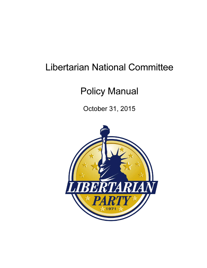# Libertarian National Committee

# Policy Manual

October 31, 2015

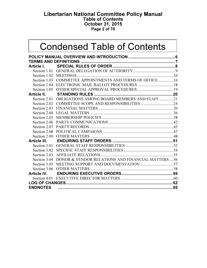#### Libertarian National Committee Policy Manual Table of Contents October 31, 2015 Page 2 of 70

# Condensed Table of Contents

| Section 1.03    | COMMITTEE APPOINTMENTS AND TERMS OF OFFICE  16           |  |
|-----------------|----------------------------------------------------------|--|
|                 |                                                          |  |
|                 |                                                          |  |
| Article II.     |                                                          |  |
|                 | Section 2.01 OBLIGATIONS AMONG BOARD MEMBERS AND STAFF21 |  |
| Section 2.02    |                                                          |  |
|                 |                                                          |  |
| Section 2.04    |                                                          |  |
| Section 2.05    |                                                          |  |
| Section 2.06    |                                                          |  |
| Section 2.07    |                                                          |  |
|                 |                                                          |  |
| Section 2.09    |                                                          |  |
|                 |                                                          |  |
| Section 3.01    |                                                          |  |
|                 |                                                          |  |
| Section 3.03    |                                                          |  |
| Section 3.04    | DONOR & VENDOR RELATIONS AND FINANCIAL MATTERS  56       |  |
|                 |                                                          |  |
|                 |                                                          |  |
|                 |                                                          |  |
|                 |                                                          |  |
|                 |                                                          |  |
| <b>ENDNOTES</b> |                                                          |  |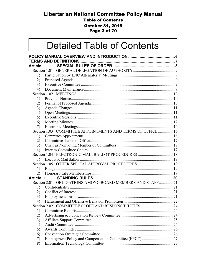## Libertarian National Committee Policy Manual **Table of Contents October 31, 2015** Page 3 of 70

# **Detailed Table of Contents**

| Article I.  |                                                            |  |
|-------------|------------------------------------------------------------|--|
|             |                                                            |  |
| 1)          |                                                            |  |
| 2)          |                                                            |  |
| 3)          |                                                            |  |
| 4)          |                                                            |  |
|             |                                                            |  |
| 1)          |                                                            |  |
| 2)<br>3)    |                                                            |  |
| 4)          |                                                            |  |
| 5)          |                                                            |  |
| 6)          |                                                            |  |
| 7)          |                                                            |  |
|             | Section 1.03 COMMITTEE APPOINTMENTS AND TERMS OF OFFICE 16 |  |
| 1)          |                                                            |  |
| 2)          |                                                            |  |
| 3)          |                                                            |  |
| 4)          |                                                            |  |
|             |                                                            |  |
| 1)          |                                                            |  |
|             | Section 1.05 OTHER SPECIAL APPROVAL PROCEDURES19           |  |
| 1)          |                                                            |  |
| 2)          |                                                            |  |
| Article II. |                                                            |  |
|             | Section 2.01 OBLIGATIONS AMONG BOARD MEMBERS AND STAFF21   |  |
| 1)          |                                                            |  |
| 2)          |                                                            |  |
| 3)          |                                                            |  |
| 4)          |                                                            |  |
|             | Section 2.02 COMMITTEE SCOPE AND RESPONSIBILITIES<br>. 24  |  |
| 1)          |                                                            |  |
| 2)          |                                                            |  |
| 3)          |                                                            |  |
| 4)          |                                                            |  |
| 5)          |                                                            |  |
| 6)          |                                                            |  |
| 7)          |                                                            |  |
| 8)          |                                                            |  |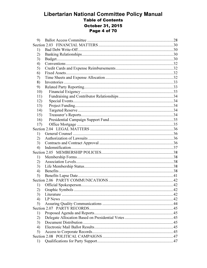## **Libertarian National Committee Policy Manual Table of Contents October 31, 2015** Page 4 of 70

| 9)  |  |
|-----|--|
|     |  |
| 1)  |  |
| 2)  |  |
| 3)  |  |
| 4)  |  |
| 5)  |  |
| 6)  |  |
| 7)  |  |
| 8)  |  |
| 9)  |  |
| 10) |  |
| 11) |  |
| 12) |  |
| 13) |  |
| 14) |  |
| 15) |  |
| 16) |  |
| 17) |  |
|     |  |
| 1)  |  |
| 2)  |  |
| 3)  |  |
| 4)  |  |
|     |  |
| 1)  |  |
| 2)  |  |
| 3)  |  |
| 4)  |  |
| 5)  |  |
|     |  |
| 1)  |  |
| 2)  |  |
| 3)  |  |
| 4)  |  |
| 5)  |  |
|     |  |
| 1)  |  |
| 2)  |  |
| 3)  |  |
| 4)  |  |
| 5)  |  |
|     |  |
| 1)  |  |
|     |  |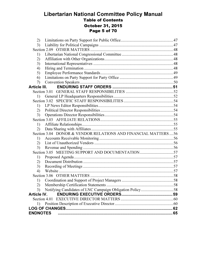## Libertarian National Committee Policy Manual Table of Contents October 31, 2015 Page 5 of 70

| 2)                  |                                                               |  |
|---------------------|---------------------------------------------------------------|--|
| 3)                  |                                                               |  |
|                     |                                                               |  |
| 1)                  |                                                               |  |
| 2)                  |                                                               |  |
| 3)                  |                                                               |  |
| 4)                  |                                                               |  |
| 5)                  |                                                               |  |
| 6)                  |                                                               |  |
| 7)                  |                                                               |  |
| <b>Article III.</b> |                                                               |  |
|                     |                                                               |  |
| 1)                  |                                                               |  |
|                     |                                                               |  |
| 1)                  |                                                               |  |
| 2)                  |                                                               |  |
| 3)                  |                                                               |  |
|                     |                                                               |  |
| 1)                  |                                                               |  |
| 2)                  |                                                               |  |
|                     | Section 3.04 DONOR & VENDOR RELATIONS AND FINANCIAL MATTERS56 |  |
| 1)                  |                                                               |  |
| 2)                  |                                                               |  |
| 3)                  |                                                               |  |
|                     |                                                               |  |
| 1)                  |                                                               |  |
| 2)                  |                                                               |  |
| 3)                  |                                                               |  |
| 4)                  |                                                               |  |
|                     |                                                               |  |
| 1)                  |                                                               |  |
| 2)                  |                                                               |  |
| 3)                  |                                                               |  |
| <b>Article IV.</b>  |                                                               |  |
|                     |                                                               |  |
|                     |                                                               |  |
|                     |                                                               |  |
| <b>ENDNOTES</b>     |                                                               |  |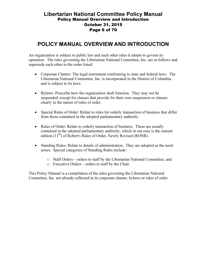#### Libertarian National Committee Policy Manual Policy Manual Overview and Introduction October 31, 2015 Page 6 of 70

# POLICY MANUAL OVERVIEW AND INTRODUCTION

An organization is subject to public law and such other rules it adopts to govern its operation. The rules governing the Libertarian National Committee, Inc. are as follows and supersede each other in the order listed:

- Corporate Charter: The legal instrument conforming to state and federal laws. The Libertarian National Committee, Inc. is incorporated in the District of Columbia and is subject to its laws.
- Bylaws: Prescribe how the organization shall function. They may not be suspended, except for clauses that provide for their own suspension or clauses clearly in the nature of rules of order.
- Special Rules of Order: Relate to rules for orderly transaction of business that differ from those contained in the adopted parliamentary authority.
- Rules of Order: Relate to orderly transaction of business. These are usually contained in the adopted parliamentary authority, which in our case is the current edition  $(11<sup>th</sup>)$  of Robert's Rules of Order, Newly Revised (RONR).
- Standing Rules: Relate to details of administration. They are adopted as the need arises. Special categories of Standing Rules include:
	- o Staff Orders orders to staff by the Libertarian National Committee; and
	- o Executive Orders orders to staff by the Chair.

This Policy Manual is a compilation of the rules governing the Libertarian National Committee, Inc. not already reflected in its corporate charter, bylaws or rules of order.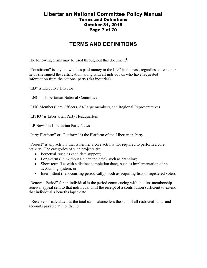## Libertarian National Committee Policy Manual Terms and Definitions October 31, 2015 Page 7 of 70

# TERMS AND DEFINITIONS

The following terms may be used throughout this document<sup>1</sup>:

"Constituent" is anyone who has paid money to the LNC in the past, regardless of whether he or she signed the certification, along with all individuals who have requested information from the national party (aka inquiries).

"ED" is Executive Director

"LNC" is Libertarian National Committee

"LNC Members" are Officers, At-Large members, and Regional Representatives

"LPHQ" is Libertarian Party Headquarters

"LP News" is Libertarian Party News

"Party Platform" or "Platform" is the Platform of the Libertarian Party

"Project" is any activity that is neither a core activity nor required to perform a core activity. The categories of such projects are:

- Perpetual, such as candidate support;
- Long-term (i.e. without a clear end date), such as branding;
- Short-term (i.e. with a distinct completion date), such as implementation of an accounting system; or
- Intermittent (i.e. occurring periodically), such as acquiring lists of registered voters

"Renewal Period" for an individual is the period commencing with the first membership renewal appeal sent to that individual until the receipt of a contribution sufficient to extend that individual's benefits lapse date.

 "Reserve" is calculated as the total cash balance less the sum of all restricted funds and accounts payable at month end.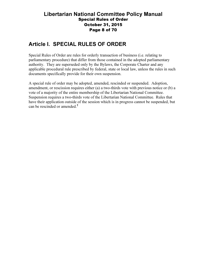#### Libertarian National Committee Policy Manual Special Rules of Order October 31, 2015 Page 8 of 70

# Article I. SPECIAL RULES OF ORDER

Special Rules of Order are rules for orderly transaction of business (i.e. relating to parliamentary procedure) that differ from those contained in the adopted parliamentary authority. They are superseded only by the Bylaws, the Corporate Charter and any applicable procedural rule prescribed by federal, state or local law, unless the rules in such documents specifically provide for their own suspension.

A special rule of order may be adopted, amended, rescinded or suspended. Adoption, amendment, or rescission requires either (a) a two-thirds vote with previous notice or (b) a vote of a majority of the entire membership of the Libertarian National Committee. Suspension requires a two-thirds vote of the Libertarian National Committee. Rules that have their application outside of the session which is in progress cannot be suspended, but can be rescinded or amended.<sup>2</sup>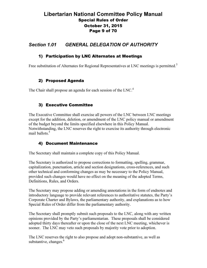## Libertarian National Committee Policy Manual Special Rules of Order October 31, 2015 Page 9 of 70

## Section 1.01 GENERAL DELEGATION OF AUTHORITY

#### 1) Participation by LNC Alternates at Meetings

Free substitution of Alternates for Regional Representatives at LNC meetings is permitted.<sup>3</sup>

#### 2) Proposed Agenda

The Chair shall propose an agenda for each session of the LNC.<sup>4</sup>

#### 3) Executive Committee

The Executive Committee shall exercise all powers of the LNC between LNC meetings except for the addition, deletion, or amendment of the LNC policy manual or amendment of the budget beyond the limits specified elsewhere in this Policy Manual. Notwithstanding, the LNC reserves the right to exercise its authority through electronic mail ballots.<sup>5</sup>

#### 4) Document Maintenance

The Secretary shall maintain a complete copy of this Policy Manual.

The Secretary is authorized to propose corrections to formatting, spelling, grammar, capitalization, punctuation, article and section designations, cross-references, and such other technical and conforming changes as may be necessary to the Policy Manual, provided such changes would have no effect on the meaning of the adopted Terms, Definitions, Rules, and Orders.

The Secretary may propose adding or amending annotations in the form of endnotes and introductory language to provide relevant references to authoritative statutes, the Party's Corporate Charter and Bylaws, the parliamentary authority, and explanations as to how Special Rules of Order differ from the parliamentary authority.

The Secretary shall promptly submit such proposals to the LNC, along with any written opinions provided by the Party's parliamentarian. These proposals shall be considered adopted thirty days thereafter or upon the close of the next LNC meeting, whichever is sooner. The LNC may veto such proposals by majority vote prior to adoption.

The LNC reserves the right to also propose and adopt non-substantive, as well as substantive, changes. $<sup>6</sup>$ </sup>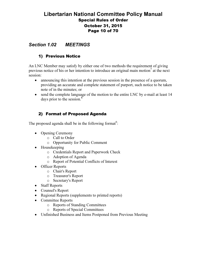## Libertarian National Committee Policy Manual Special Rules of Order October 31, 2015 Page 10 of 70

## Section 1.02 MEETINGS

#### 1) Previous Notice

An LNC Member may satisfy by either one of two methods the requirement of giving previous notice of his or her intention to introduce an original main motion<sup>7</sup> at the next session:

- announcing this intention at the previous session in the presence of a quorum, providing an accurate and complete statement of purport, such notice to be taken note of in the minutes; or
- send the complete language of the motion to the entire LNC by e-mail at least 14 days prior to the session.<sup>8</sup>

#### 2) Format of Proposed Agenda

The proposed agenda shall be in the following format<sup>9</sup>:

- Opening Ceremony
	- o Call to Order
	- o Opportunity for Public Comment
- Housekeeping
	- o Credentials Report and Paperwork Check
	- o Adoption of Agenda
	- o Report of Potential Conflicts of Interest
- Officer Reports
	- o Chair's Report
	- o Treasurer's Report
	- o Secretary's Report
- Staff Reports
- Counsel's Report
- Regional Reports (supplements to printed reports)
- Committee Reports
	- o Reports of Standing Committees
	- o Reports of Special Committees
- Unfinished Business and Items Postponed from Previous Meeting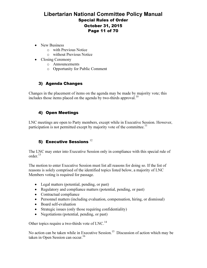## Libertarian National Committee Policy Manual Special Rules of Order October 31, 2015 Page 11 of 70

- New Business
	- o with Previous Notice
	- o without Previous Notice
- Closing Ceremony
	- o Announcements
	- o Opportunity for Public Comment

## 3) Agenda Changes

Changes in the placement of items on the agenda may be made by majority vote; this includes those items placed on the agenda by two-thirds approval.<sup>10</sup>

#### 4) Open Meetings

LNC meetings are open to Party members, except while in Executive Session. However, participation is not permitted except by majority vote of the committee.<sup>11</sup>

## 5) Executive Sessions  $12$

The LNC may enter into Executive Session only in compliance with this special rule of order.<sup>13</sup>

The motion to enter Executive Session must list all reasons for doing so. If the list of reasons is solely comprised of the identified topics listed below, a majority of LNC Members voting is required for passage.

- Legal matters (potential, pending, or past)
- Regulatory and compliance matters (potential, pending, or past)
- Contractual compliance
- Personnel matters (including evaluation, compensation, hiring, or dismissal)
- Board self-evaluation
- Strategic issues (only those requiring confidentiality)
- Negotiations (potential, pending, or past)

Other topics require a two-thirds vote of LNC.<sup>14</sup>

No action can be taken while in Executive Session.<sup>15</sup> Discussion of action which may be taken in Open Session can occur.<sup>16</sup>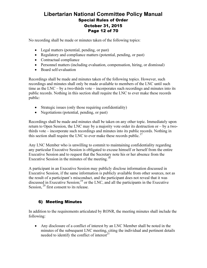## Libertarian National Committee Policy Manual Special Rules of Order October 31, 2015 Page 12 of 70

No recording shall be made or minutes taken of the following topics:

- Legal matters (potential, pending, or past)
- Regulatory and compliance matters (potential, pending, or past)
- Contractual compliance
- Personnel matters (including evaluation, compensation, hiring, or dismissal)
- Board self-evaluation

Recordings shall be made and minutes taken of the following topics. However, such recordings and minutes shall only be made available to members of the LNC until such time as the LNC – by a two-thirds vote – incorporates such recordings and minutes into its public records. Nothing in this section shall require the LNC to ever make these records public:

- Strategic issues (only those requiring confidentiality)
- Negotiations (potential, pending, or past)

Recordings shall be made and minutes shall be taken on any other topic. Immediately upon return to Open Session, the LNC may by a majority vote order its destruction or – by a twothirds vote – incorporate such recordings and minutes into its public records. Nothing in this section shall require the LNC to ever make these records public.<sup>17</sup>

Any LNC Member who is unwilling to commit to maintaining confidentiality regarding any particular Executive Session is obligated to excuse himself or herself from the entire Executive Session and to request that the Secretary note his or her absence from the Executive Session in the minutes of the meeting.<sup>18</sup>

A participant in an Executive Session may publicly disclose information discussed in Executive Session, if the same information is publicly available from other sources, not as the result of a participant's misconduct, and the participant does not reveal that it was discussed in Executive Session; $^{19}$  or the LNC, and all the participants in the Executive Session,  $2<sup>0</sup>$  first consent to its release.

#### 6) Meeting Minutes

In addition to the requirements articulated by RONR, the meeting minutes shall include the following:

• Any disclosure of a conflict of interest by an LNC Member shall be noted in the minutes of the subsequent LNC meeting, citing the individual and pertinent details needed to identify the conflict of interest $^{21}$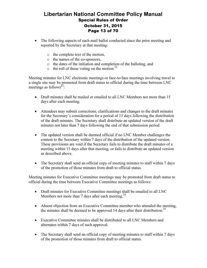## Libertarian National Committee Policy Manual Special Rules of Order October 31, 2015 Page 13 of 70

- The following aspects of each mail ballot conducted since the prior meeting and reported by the Secretary at that meeting:
	- o the complete text of the motion,
	- o the names of the co-sponsors,
	- o the dates of the initiation and completion of the balloting, and
	- $\circ$  the roll of those voting on the motion.<sup>22</sup>

Meeting minutes for LNC electronic meetings or face-to-face meetings involving travel to a single site may be promoted from draft status to official during the time between LNC meetings as follows<sup>23</sup>:

- Draft minutes shall be mailed or emailed to all LNC Members not more than 15 days after each meeting.
- Attendees may submit corrections, clarifications and changes to the draft minutes for the Secretary's consideration for a period of 15 days following the distribution of the draft minutes. The Secretary shall distribute an updated version of the draft minutes not later than 7 days following the end of that submission period.
- The updated version shall be deemed official if no LNC Member challenges the content to the Secretary within 7 days of the distribution of the updated version. These provisions are void if the Secretary fails to distribute the draft minutes of a meeting within 15 days after that meeting, or fails to distribute an updated version as described above.
- The Secretary shall send an official copy of meeting minutes to staff within 7 days of the promotion of those minutes from draft to official status.

Meeting minutes for Executive Committee meetings may be promoted from draft status to official during the time between Executive Committee meetings as follows:

- Draft minutes for Executive Committee meetings shall be emailed to all LNC Members not more than 7 days after each meeting.<sup>24</sup>
- Absent objection from an Executive Committee member who attended the meeting, the minutes shall be deemed to be approved 14 days after their distribution.<sup>25</sup>
- Executive Committee minutes shall be distributed to all LNC Members and alternates within 7 days of such approval.
- The Secretary shall send an official copy of meeting minutes to staff within 7 days of the promotion of those minutes from draft to official status.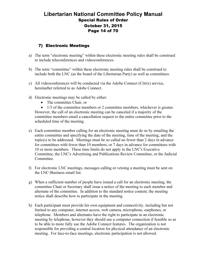## Libertarian National Committee Policy Manual Special Rules of Order October 31, 2015 Page 14 of 70

#### 7) Electronic Meetings

- a) The term "electronic meeting" within these electronic meeting rules shall be construed to include teleconferences and videoconferences.
- b) The term "committee" within these electronic meeting rules shall be construed to include both the LNC (as the board of the Libertarian Party) as well as committees.
- c) All videoconferences will be conducted via the Adobe Connect (Citrix) service, hereinafter referred to as Adobe Connect.
- d) Electronic meetings may be called by either:
	- The committee Chair, or

• 1/3 of the committee members or 2 committee members, whichever is greater. However, the call of an electronic meeting can be canceled if a majority of the committee members email a cancellation request to the entire committee prior to the scheduled time of the meeting.

- e) Each committee member calling for an electronic meeting must do so by emailing the entire committee and specifying the date of the meeting, time of the meeting, and the topic(s) to be addressed. Meetings must be so called no fewer than 2 days in advance for committees with fewer than 10 members, or 7 days in advance for committees with 10 or more members. These time limits do not apply to the LNC's Executive Committee, the LNC's Advertising and Publications Review Committee, or the Judicial Committee.
- f) For electronic LNC meetings, messages calling or vetoing a meeting must be sent on the LNC-Business email list.
- g) When a sufficient number of people have issued a call for an electronic meeting, the committee Chair or Secretary shall issue a notice of the meeting to each member and alternate of the committee. In addition to the standard notice content, the meeting notice shall describe how to participate in the meeting.
- h) Each participant must provide his own equipment and connectivity, including but not limited to any computer, internet access, web camera, microphone, earphones, or telephone. Members and alternates have the right to participate in an electronic meeting by telephone, however they should use a computer connection if feasible so as to be able to more fully use the Adobe Connect features. The organization is not responsible for providing a central location for physical attendance of an electronic meeting. For face-to-face meetings, electronic participation is not allowed.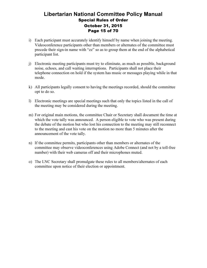## Libertarian National Committee Policy Manual Special Rules of Order October 31, 2015 Page 15 of 70

- i) Each participant must accurately identify himself by name when joining the meeting. Videoconference participants other than members or alternates of the committee must precede their sign-in name with "zz" so as to group them at the end of the alphabetical participant list.
- j) Electronic meeting participants must try to eliminate, as much as possible, background noise, echoes, and call waiting interruptions. Participants shall not place their telephone connection on hold if the system has music or messages playing while in that mode.
- k) All participants legally consent to having the meetings recorded, should the committee opt to do so.
- l) Electronic meetings are special meetings such that only the topics listed in the call of the meeting may be considered during the meeting.
- m) For original main motions, the committee Chair or Secretary shall document the time at which the vote tally was announced. A person eligible to vote who was present during the debate of the motion but who lost his connection to the meeting may still reconnect to the meeting and cast his vote on the motion no more than 5 minutes after the announcement of the vote tally.
- n) If the committee permits, participants other than members or alternates of the committee may observe videoconferences using Adobe Connect (and not by a toll-free number) with their web cameras off and their microphones muted.
- o) The LNC Secretary shall promulgate these rules to all members/alternates of each committee upon notice of their election or appointment.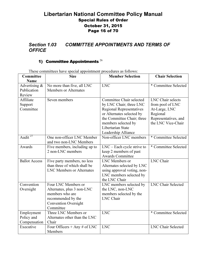## Libertarian National Committee Policy Manual Special Rules of Order October 31, 2015 Page 16 of 70

## Section 1.03 COMMITTEE APPOINTMENTS AND TERMS OF **OFFICE**

## 1) Committee Appointments  $^{26}$

| Committee            | <b>Size</b>                      | <b>Member Selection</b>         | <b>Chair Selection</b>    |
|----------------------|----------------------------------|---------------------------------|---------------------------|
| Name                 |                                  |                                 |                           |
| Advertising $\&$     | No more than five, all LNC       | <b>LNC</b>                      | * Committee Selected      |
| Publication          | <b>Members or Alternates</b>     |                                 |                           |
| Review               |                                  |                                 |                           |
| Affiliate            | Seven members                    | Committee Chair selected        | LNC Chair selects         |
| Support              |                                  | by LNC Chair; three LNC         | from pool of LNC          |
| Committee            |                                  | <b>Regional Representatives</b> | At-Large, LNC             |
|                      |                                  | or Alternates selected by       | Regional                  |
|                      |                                  | the Committee Chair; three      | Representatives, and      |
|                      |                                  | members selected by             | the LNC Vice-Chair        |
|                      |                                  | Libertarian State               |                           |
|                      |                                  | Leadership Alliance             |                           |
| Audit $^{27}$        | One non-officer LNC Member       | Non-officer LNC members         | * Committee Selected      |
|                      | and two non-LNC Members          |                                 |                           |
| Awards               | Five members, including up to    | $LNC$ – Each cycle strive to    | * Committee Selected      |
|                      | 2 non-LNC members                | keep 2 members of past          |                           |
|                      |                                  | <b>Awards Committee</b>         |                           |
| <b>Ballot Access</b> | Five party members, no less      | LNC Members or                  | <b>LNC</b> Chair          |
|                      | than three of which shall be     | Alternates selected by LNC      |                           |
|                      | <b>LNC Members or Alternates</b> | using approval voting, non-     |                           |
|                      |                                  | LNC members selected by         |                           |
|                      |                                  | the LNC Chair                   |                           |
| Convention           | Four LNC Members or              | LNC members selected by         | <b>LNC Chair Selected</b> |
| Oversight            | Alternates, plus 3 non-LNC       | the LNC, non-LNC                |                           |
|                      | members who are                  | members selected by the         |                           |
|                      | recommended by the               | <b>LNC</b> Chair                |                           |
|                      | <b>Convention Oversight</b>      |                                 |                           |
|                      | Committee                        |                                 |                           |
| Employment           | Three LNC Members or             | <b>LNC</b>                      | * Committee Selected      |
| Policy and           | Alternates other than the LNC    |                                 |                           |
| Compensation         | Chair                            |                                 |                           |
| Executive            | Four Officers + Any $\#$ of LNC  | <b>LNC</b>                      | <b>LNC Chair Selected</b> |
|                      | Members                          |                                 |                           |

These committees have special appointment procedures as follows: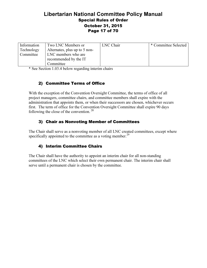## Libertarian National Committee Policy Manual Special Rules of Order October 31, 2015 Page 17 of 70

| Information | Two LNC Members or            | LNC Chair | * Committee Selected |
|-------------|-------------------------------|-----------|----------------------|
| Technology  | Alternates, plus up to 5 non- |           |                      |
| Committee   | LNC members who are           |           |                      |
|             | recommended by the IT         |           |                      |
|             | Committee                     |           |                      |

\* See Section 1.03.4 below regarding interim chairs

## 2) Committee Terms of Office

With the exception of the Convention Oversight Committee, the terms of office of all project managers, committee chairs, and committee members shall expire with the administration that appoints them, or when their successors are chosen, whichever occurs first. The term of office for the Convention Oversight Committee shall expire 90 days following the close of the convention.<sup>28</sup>

## 3) Chair as Nonvoting Member of Committees

The Chair shall serve as a nonvoting member of all LNC created committees, except where specifically appointed to the committee as a voting member.<sup>29</sup>

#### 4) Interim Committee Chairs

The Chair shall have the authority to appoint an interim chair for all non-standing committees of the LNC which select their own permanent chair. The interim chair shall serve until a permanent chair is chosen by the committee.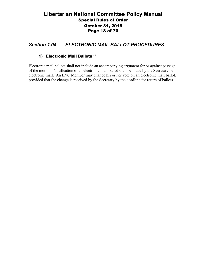## Libertarian National Committee Policy Manual Special Rules of Order October 31, 2015 Page 18 of 70

## Section 1.04 ELECTRONIC MAIL BALLOT PROCEDURES

#### 1) Electronic Mail Ballots  $30$

Electronic mail ballots shall not include an accompanying argument for or against passage of the motion. Notification of an electronic mail ballot shall be made by the Secretary by electronic mail. An LNC Member may change his or her vote on an electronic mail ballot, provided that the change is received by the Secretary by the deadline for return of ballots.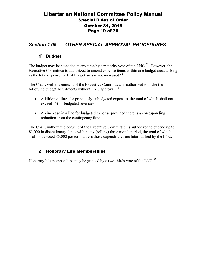## Libertarian National Committee Policy Manual Special Rules of Order October 31, 2015 Page 19 of 70

## Section 1.05 OTHER SPECIAL APPROVAL PROCEDURES

#### 1) Budget

The budget may be amended at any time by a majority vote of the LNC.<sup>31</sup> However, the Executive Committee is authorized to amend expense items within one budget area, as long as the total expense for that budget area is not increased. $32$ 

The Chair, with the consent of the Executive Committee, is authorized to make the following budget adjustments without LNC approval:  $33$ 

- Addition of lines for previously unbudgeted expenses, the total of which shall not exceed 1% of budgeted revenues
- An increase in a line for budgeted expense provided there is a corresponding reduction from the contingency fund.

The Chair, without the consent of the Executive Committee, is authorized to expend up to \$1,000 in discretionary funds within any (rolling) three month period, the total of which shall not exceed \$5,000 per term unless those expenditures are later ratified by the LNC.<sup>34</sup>

#### 2) Honorary Life Memberships

Honorary life memberships may be granted by a two-thirds vote of the LNC.<sup>35</sup>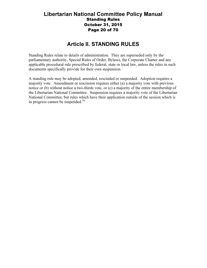#### Libertarian National Committee Policy Manual Standing Rules October 31, 2015 Page 20 of 70

## Article II. STANDING RULES

Standing Rules relate to details of administration. They are superseded only by the parliamentary authority, Special Rules of Order, Bylaws, the Corporate Charter and any applicable procedural rule prescribed by federal, state or local law, unless the rules in such documents specifically provide for their own suspension.

A standing rule may be adopted, amended, rescinded or suspended. Adoption requires a majority vote. Amendment or rescission requires either (a) a majority vote with previous notice or (b) without notice a two-thirds vote, or (c) a majority of the entire membership of the Libertarian National Committee. Suspension requires a majority vote of the Libertarian National Committee, but rules which have their application outside of the session which is in progress cannot be suspended. $36$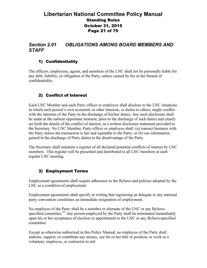## Libertarian National Committee Policy Manual Standing Rules October 31, 2015 Page 21 of 70

## Section 2.01 OBLIGATIONS AMONG BOARD MEMBERS AND **STAFF**

#### 1) Confidentiality

The officers, employees, agents, and members of the LNC shall not be personally liable for any debt, liability, or obligation of the Party, unless caused by his or her breach of confidentiality.

#### 2) Conflict of Interest

Each LNC Member and each Party officer or employee shall disclose to the LNC situations in which such person's own economic or other interests, or duties to others, might conflict with the interests of the Party in the discharge of his/her duties. Any such disclosure shall be made at the earliest opportune moment, prior to the discharge of such duties and clearly set forth the details of the conflict of interest, in a written disclosure statement provided to the Secretary. No LNC Member, Party officer or employee shall: (a) transact business with the Party unless the transaction is fair and equitable to the Party; or (b) use information gained in the discharge of Party duties to the disadvantage of the Party.

The Secretary shall maintain a register of all declared potential conflicts of interest by LNC members. This register will be presented and distributed to all LNC members at each regular LNC meeting.

#### 3) Employment Terms

Employment agreements shall require adherence to the Bylaws and policies adopted by the LNC as a condition of employment.

Employment agreements shall specify in writing that registering as delegate to any national party convention constitutes an immediate resignation of employment.

No employee of the Party shall be a member or alternate of the LNC or any Bylawsspecified committee. $37$  Any person employed by the Party shall be terminated immediately upon his or her acceptance of election or appointment to the LNC or any Bylaws-specified committee.

Except as otherwise authorized in this Policy Manual, no employee of the Party shall endorse, support, or contribute any money, use his or her title or position, or work as a volunteer, employee, or contractor to aid: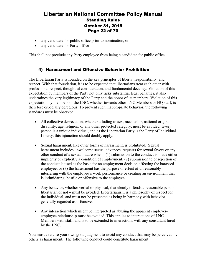## Libertarian National Committee Policy Manual Standing Rules October 31, 2015 Page 22 of 70

- any candidate for public office prior to nomination, or
- any candidate for Party office

This shall not preclude any Party employee from being a candidate for public office.

#### 4) Harassment and Offensive Behavior Prohibition

The Libertarian Party is founded on the key principles of liberty, responsibility, and respect. With that foundation, it is to be expected that libertarians treat each other with professional respect, thoughtful consideration, and fundamental decency. Violation of this expectation by members of the Party not only risks substantial legal penalties, it also undermines the very legitimacy of the Party and the honor of its members. Violation of this expectation by members of the LNC, whether towards other LNC Members or HQ staff, is therefore especially egregious. To prevent such inappropriate behavior, the following standards must be observed:

- All collective deprecation, whether alluding to sex, race, color, national origin, disability, age, religion, or any other protected category, must be avoided. Every person is a unique individual, and as the Libertarian Party is the Party of Individual Liberty, this injunction should doubly apply.
- Sexual harassment, like other forms of harassment, is prohibited. Sexual harassment includes unwelcome sexual advances, requests for sexual favors or any other conduct of a sexual nature when: (1) submission to the conduct is made either implicitly or explicitly a condition of employment; (2) submission to or rejection of the conduct is used as the basis for an employment decision affecting the harassed employee; or (3) the harassment has the purpose or effect of unreasonably interfering with the employee's work performance or creating an environment that is intimidating, hostile or offensive to the employee.
- Any behavior, whether verbal or physical, that clearly offends a reasonable person libertarian or not – must be avoided. Libertarianism is a philosophy of respect for the individual, and must not be presented as being in harmony with behavior generally regarded as offensive.
- Any interaction which might be interpreted as abusing the apparent employeremployee relationship must be avoided. This applies to interactions of LNC Members with staff, and is to be extended to interactions with any consultant hired by the LNC.

You must exercise your own good judgment to avoid any conduct that may be perceived by others as harassment. The following conduct could constitute harassment: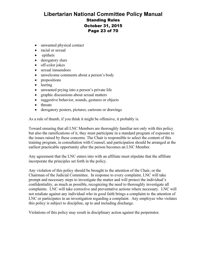## Libertarian National Committee Policy Manual Standing Rules October 31, 2015 Page 23 of 70

- unwanted physical contact
- racial or sexual
- epithets
- derogatory slurs
- off-color jokes
- sexual innuendoes
- unwelcome comments about a person's body
- propositions
- leering
- unwanted prying into a person's private life
- graphic discussions about sexual matters
- suggestive behavior, sounds, gestures or objects
- threats
- derogatory posters, pictures, cartoons or drawings

As a rule of thumb, if you think it might be offensive, it probably is.

Toward ensuring that all LNC Members are thoroughly familiar not only with this policy but also the ramifications of it, they must participate in a standard program of exposure to the issues raised by these concerns. The Chair is responsible to select the content of this training program, in consultation with Counsel, and participation should be arranged at the earliest practicable opportunity after the person becomes an LNC Member.

Any agreement that the LNC enters into with an affiliate must stipulate that the affiliate incorporate the principles set forth in the policy.

Any violation of this policy should be brought to the attention of the Chair, or the Chairman of the Judicial Committee. In response to every complaint, LNC will take prompt and necessary steps to investigate the matter and will protect the individual's confidentiality, as much as possible, recognizing the need to thoroughly investigate all complaints. LNC will take corrective and preventative actions where necessary. LNC will not retaliate against any individual who in good faith brings a complaint to the attention of LNC or participates in an investigation regarding a complaint. Any employee who violates this policy is subject to discipline, up to and including discharge.

Violations of this policy may result in disciplinary action against the perpetrator.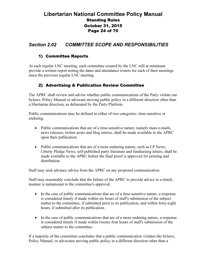## Libertarian National Committee Policy Manual Standing Rules October 31, 2015 Page 24 of 70

## Section 2.02 COMMITTEE SCOPE AND RESPONSIBILITIES

#### 1) Committee Reports

At each regular LNC meeting, each committee created by the LNC will at minimum provide a written report noting the dates and attendance rosters for each of their meetings since the previous regular LNC meeting.

#### 2) Advertising & Publication Review Committee

The APRC shall review and advise whether public communications of the Party violate our bylaws, Policy Manual or advocate moving public policy in a different direction other than a libertarian direction, as delineated by the Party Platform.

Public communications may be defined in either of two categories: time-sensitive or enduring.

- Public communications that are of a time-sensitive nature, namely mass e-mails, news releases, twitter posts and blog entries, shall be made available to the APRC upon their publication.
- Public communications that are of a more enduring nature, such as LP News, Liberty Pledge News, self-published party literature and fundraising letters, shall be made available to the APRC before the final proof is approved for printing and distribution.

Staff may seek advance advice from the APRC on any proposed communication.

Staff may reasonably conclude that the failure of the APRC to provide advice in a timely manner is tantamount to the committee's approval.

- In the case of public communications that are of a time-sensitive nature, a response is considered timely if made within six hours of staff's submission of the subject matter to the committee, if submitted prior to its publication; and within forty-eight hours, if submitted after its publication.
- In the case of public communications that are of a more enduring nature, a response is considered timely if made within twenty-four hours of staff's submission of the subject matter to the committee.

If a majority of the committee concludes that a public communication violates the bylaws, Policy Manual, or advocates moving public policy in a different direction other than a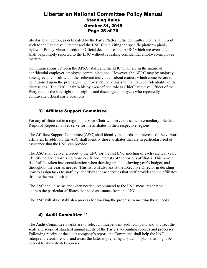## Libertarian National Committee Policy Manual Standing Rules October 31, 2015 Page 25 of 70

libertarian direction, as delineated by the Party Platform, the committee chair shall report such to the Executive Director and the LNC Chair, citing the specific platform plank, bylaw or Policy Manual section. Official decisions of the APRC which are overridden shall be promptly reported to the LNC without revealing confidential employer-employee matters.

Communications between the APRC, staff, and the LNC Chair are in the nature of confidential employer-employee communications. However, the APRC may by majority vote agree to consult with other relevant individuals about matters which come before it, conditioned upon the prior agreement by such individuals to maintain confidentiality of the discussions. The LNC Chair in his bylaws-defined role as Chief Executive Officer of the Party retains the sole right to discipline and discharge employees who repeatedly contravene official party positions.

#### 3) Affiliate Support Committee

For any affiliate not in a region, the Vice-Chair will serve the same intermediary role that Regional Representatives serve for the affiliates in their respective regions.

The Affiliate Support Committee (ASC) shall identify the needs and interests of the various affiliates. In addition, the ASC shall identify those affiliates that are in particular need of assistance that the LNC can provide.

The ASC shall deliver a report to the LNC for the last LNC meeting of each calendar year, identifying and prioritizing those needs and interests of the various affiliates. This ranked list shall be taken into consideration when drawing up the following year's budget, and throughout the year as needed. This list will also assist the Executive Director in deciding how to assign tasks to staff, by identifying those services that staff provides to the affiliates that are the most desired.

The ASC shall also, as and when needed, recommend to the LNC measures that will address the particular affiliates that need assistance from the LNC.

The ASC will also establish a process for tracking the progress in meeting those needs.

## 4) Audit Committee 38

The Audit Committee's tasks are to select an independent audit company and to direct the scale and scope of standard annual audits of the Party's accounting records and processes. Following receipt of the audit company's report, the Committee shall help the LNC interpret the audit results and assist the latter in preparing any action plans that might be needed to alleviate deficiencies.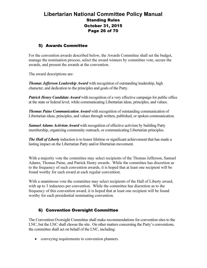## Libertarian National Committee Policy Manual Standing Rules October 31, 2015 Page 26 of 70

#### 5) Awards Committee

For the convention awards described below, the Awards Committee shall set the budget, manage the nomination process, select the award winners by committee vote, secure the awards, and present the awards at the convention.

The award descriptions are:

**Thomas Jefferson Leadership Award** with recognition of outstanding leadership, high character, and dedication to the principles and goals of the Party.

**Patrick Henry Candidate Award** with recognition of a very effective campaign for public office at the state or federal level, while communicating Libertarian ideas, principles, and values.

**Thomas Paine Communication Award** with recognition of outstanding communication of Libertarian ideas, principles, and values through written, published, or spoken communication.

**Samuel Adams Activism Award** with recognition of effective activism by building Party membership, organizing community outreach, or communicating Libertarian principles.

The Hall of Liberty induction is to honor lifetime or significant achievement that has made a lasting impact on the Libertarian Party and/or libertarian movement.

With a majority vote the committee may select recipients of the Thomas Jefferson, Samuel Adams, Thomas Paine, and Patrick Henry awards. While the committee has discretion as to the frequency of such convention awards, it is hoped that at least one recipient will be found worthy for each award at each regular convention.

With a unanimous vote the committee may select recipients of the Hall of Liberty award, with up to 3 inductees per convention. While the committee has discretion as to the frequency of this convention award, it is hoped that at least one recipient will be found worthy for each presidential nominating convention.

## 6) Convention Oversight Committee

The Convention Oversight Committee shall make recommendations for convention sites to the LNC, but the LNC shall choose the site. On other matters concerning the Party's conventions, the committee shall act on behalf of the LNC, including:

• conveying requirements to convention planners.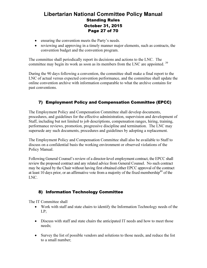## Libertarian National Committee Policy Manual Standing Rules October 31, 2015 Page 27 of 70

- ensuring the convention meets the Party's needs.
- reviewing and approving in a timely manner major elements, such as contracts, the convention budget and the convention program.

The committee shall periodically report its decisions and actions to the LNC. The committee may begin its work as soon as its members from the LNC are appointed.<sup>39</sup>

During the 90 days following a convention, the committee shall make a final report to the LNC of actual versus expected convention performance, and the committee shall update the online convention archive with information comparable to what the archive contains for past conventions.

## 7) Employment Policy and Compensation Committee (EPCC)

The Employment Policy and Compensation Committee shall develop documents, procedures, and guidelines for the effective administration, supervision and development of Staff, including but not limited to job descriptions, compensation ranges, hiring, training, performance reviews, promotion, progressive discipline and termination. The LNC may supersede any such documents, procedures and guidelines by adopting a replacement.

The Employment Policy and Compensation Committee shall also be available to Staff to discuss on a confidential basis the working environment or observed violations of the Policy Manual.

Following General Counsel's review of a director-level employment contract, the EPCC shall review the proposed contract and any related advice from General Counsel. No such contract may be signed by the Chair without having first obtained either EPCC approval of the contract at least 10 days prior, or an affirmative vote from a majority of the fixed membership<sup>40</sup> of the LNC.

#### 8) Information Technology Committee

The IT Committee shall

- Work with staff and state chairs to identify the Information Technology needs of the LP;
- Discuss with staff and state chairs the anticipated IT needs and how to meet those needs;
- Survey the list of possible vendors and solutions to those needs, and reduce the list to a small number;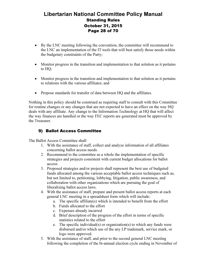## Libertarian National Committee Policy Manual Standing Rules October 31, 2015 Page 28 of 70

- By the LNC meeting following the convention, the committee will recommend to the LNC an implementation of the IT tools that will best satisfy those needs within the budgetary constraints of the Party;
- Monitor progress in the transition and implementation to that solution as it pertains to HQ;
- Monitor progress in the transition and implementation to that solution as it pertains to relations with the various affiliates; and
- Propose standards for transfer of data between HQ and the affiliates.

Nothing in this policy should be construed as requiring staff to consult with this Committee for routine changes or any changes that are not expected to have an effect on the way HQ deals with any affiliate. Any change to the Information Technology at HQ that will affect the way finances are handled or the way FEC reports are generated must be approved by the Treasurer.

## 9) Ballot Access Committee

The Ballot Access Committee shall:

- 1. With the assistance of staff, collect and analyze information of all affiliates concerning ballot access needs.
- 2. Recommend to the committee as a whole the implementation of specific strategies and projects consistent with current budget allocations for ballot access.
- 3. Proposed strategies and/or projects shall represent the best use of budgeted funds allocated among the various acceptable ballot access techniques such as, but not limited to, petitioning, lobbying, litigation, public awareness, and collaboration with other organizations which are pursuing the goal of liberalizing ballot access laws.
- 4. With the assistance of staff, prepare and present ballot access reports at each general LNC meeting in a spreadsheet form which will include:
	- a. The specific affiliate(s) which is intended to benefit from the effort
	- b. Funds allocated to the effort
	- c. Expenses already incurred
	- d. Brief description of the progress of the effort in terms of specific statistics related to the effort
	- e. The specific individual(s) or organization(s) to which any funds were disbursed and/or which use of the any LP trademark, service mark, or logo were approved.
- 5. With the assistance of staff, and prior to the second general LNC meeting following the completion of the bi-annual election cycle ending in November of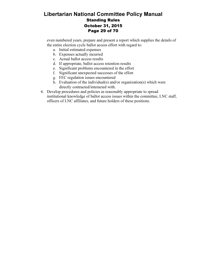## Libertarian National Committee Policy Manual Standing Rules October 31, 2015 Page 29 of 70

even numbered years, prepare and present a report which supplies the details of the entire election cycle ballot access effort with regard to:

- a. Initial estimated expenses
- b. Expenses actually incurred
- c. Actual ballot access results
- d. If appropriate, ballot access retention results
- e. Significant problems encountered in the effort
- f. Significant unexpected successes of the effort
- g. FEC regulation issues encountered
- h. Evaluation of the individual(s) and/or organization(s) which were directly contracted/interacted with.
- 6. Develop procedures and policies as reasonably appropriate to spread institutional knowledge of ballot access issues within the committee, LNC staff, officers of LNC affiliates, and future holders of these positions.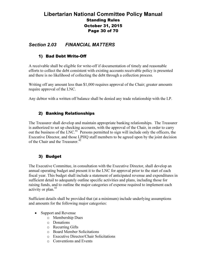## Libertarian National Committee Policy Manual Standing Rules October 31, 2015 Page 30 of 70

## Section 2.03 FINANCIAL MATTERS

## 1) Bad Debt Write-Off

A receivable shall be eligible for write-off if documentation of timely and reasonable efforts to collect the debt consistent with existing accounts receivable policy is presented and there is no likelihood of collecting the debt through a collection process.

Writing off any amount less than \$1,000 requires approval of the Chair; greater amounts require approval of the LNC.

Any debtor with a written off balance shall be denied any trade relationship with the LP.

## 2) Banking Relationships

The Treasurer shall develop and maintain appropriate banking relationships. The Treasurer is authorized to set up checking accounts, with the approval of the Chair, in order to carry out the business of the LNC.<sup>41</sup> Persons permitted to sign will include only the officers, the Executive Director, and those LPHQ staff members to be agreed upon by the joint decision of the Chair and the Treasurer.<sup>42</sup>

## 3) Budget

The Executive Committee, in consultation with the Executive Director, shall develop an annual operating budget and present it to the LNC for approval prior to the start of each fiscal year. This budget shall include a statement of anticipated revenue and expenditures in sufficient detail to adequately outline specific activities and plans, including those for raising funds, and to outline the major categories of expense required to implement each activity or plan.<sup>43</sup>

Sufficient details shall be provided that (at a minimum) include underlying assumptions and amounts for the following major categories:

- Support and Revenue
	- o Membership Dues
	- o Donations
	- o Recurring Gifts
	- o Board Member Solicitations
	- o Executive Director/Chair Solicitations
	- o Conventions and Events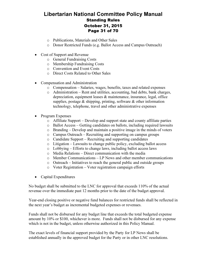## Libertarian National Committee Policy Manual Standing Rules October 31, 2015 Page 31 of 70

- o Publications, Materials and Other Sales
- o Donor Restricted Funds (e.g. Ballot Access and Campus Outreach)
- Cost of Support and Revenue
	- o General Fundraising Costs
	- o Membership Fundraising Costs
	- o Convention and Event Costs
	- o Direct Costs Related to Other Sales
- Compensation and Administration
	- o Compensation Salaries, wages, benefits, taxes and related expenses
	- o Administration Rent and utilities, accounting, bad debts, bank charges, depreciation, equipment leases & maintenance, insurance, legal, office supplies, postage  $\&$  shipping, printing, software  $\&$  other information technology, telephone, travel and other administrative expenses
- Program Expenses
	- o Affiliate Support Develop and support state and county affiliate parties
	- o Ballot Access Getting candidates on ballots, including required lawsuits
	- o Branding Develop and maintain a positive image in the minds of voters
	- o Campus Outreach Recruiting and supporting on campus groups
	- o Candidate Support Recruiting and supporting candidates
	- o Litigation Lawsuits to change public policy, excluding ballot access
	- o Lobbying Efforts to change laws, including ballot access laws
	- o Media Relations Direct communication with the media
	- o Member Communications LP News and other member communications
	- o Outreach Initiatives to reach the general public and outside groups
	- o Voter Registration Voter registration campaign efforts
- Capital Expenditures

No budget shall be submitted to the LNC for approval that exceeds 110% of the actual revenue over the immediate past 12 months prior to the date of the budget approval.

Year-end closing positive or negative fund balances for restricted funds shall be reflected in the next year's budget as incremental budgeted expenses or revenues.

Funds shall not be disbursed for any budget line that exceeds the total budgeted expense amount by 10% or \$100, whichever is more. Funds shall not be disbursed for any expense which is not in the budget, unless otherwise authorized in this Policy Manual.

The exact levels of financial support provided by the Party for LP News shall be established annually in the approved budget for the Party or in other LNC resolutions.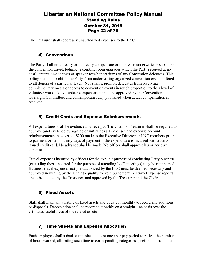## Libertarian National Committee Policy Manual Standing Rules October 31, 2015 Page 32 of 70

The Treasurer shall report any unauthorized expenses to the LNC.

#### 4) Conventions

The Party shall not directly or indirectly compensate or otherwise underwrite or subsidize the convention travel, lodging (excepting room upgrades which the Party received at no cost), entertainment costs or speaker fees/honorariums of any Convention delegates. This policy shall not prohibit the Party from underwriting organized convention events offered to all donors of a particular level. Nor shall it prohibit delegates from receiving complementary meals or access to convention events in rough proportion to their level of volunteer work. All volunteer compensation must be approved by the Convention Oversight Committee, and contemporaneously published when actual compensation is received.

#### 5) Credit Cards and Expense Reimbursements

All expenditures shall be evidenced by receipts. The Chair or Treasurer shall be required to approve (and evidence by signing or initialing) all expenses and expense account reimbursements in excess of \$200 made to the Executive Director or LNC members prior to payment or within thirty days of payment if the expenditure is incurred with a Party issued credit card. No advance shall be made. No officer shall approve his or her own expenses.

Travel expenses incurred by officers for the explicit purpose of conducting Party business (excluding those incurred for the purpose of attending LNC meetings) may be reimbursed. Business travel expenses not pre-authorized by the LNC must be deemed necessary and approved in writing by the Chair to qualify for reimbursement. All travel expense reports are to be audited by the Treasurer, and approved by the Treasurer and the Chair.

#### 6) Fixed Assets

Staff shall maintain a listing of fixed assets and update it monthly to record any additions or disposals. Depreciation shall be recorded monthly on a straight-line basis over the estimated useful lives of the related assets.

#### 7) Time Sheets and Expense Allocation

Each employee shall submit a timesheet at least once per pay period to reflect the number of hours worked, allocating such time to corresponding categories specified in the annual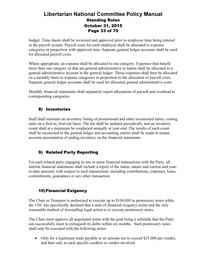## Libertarian National Committee Policy Manual Standing Rules October 31, 2015 Page 33 of 70

budget. Time sheets shall be reviewed and approved prior to employee time being entered in the payroll system. Payroll costs for each employee shall be allocated to expense categories in proportion with approved time. Separate general ledger accounts shall be used for allocated payroll costs.

Where appropriate, an expense shall be allocated to one category. Expenses that benefit more than one category or that are general administrative in nature shall be allocated to a general administrative account in the general ledger. Those expenses shall then be allocated on a monthly basis to expense categories in proportion to the allocation of payroll costs. Separate general ledger accounts shall be used for allocated general administrative costs.

Monthly financial statements shall separately report allocations of payroll and overhead to corresponding categories.

#### 8) Inventories

Staff shall maintain an inventory listing of promotional and other inventoried items, costing units on a first-in, first-out basis. The list shall be updated periodically and an inventory count shall at a minimum be conducted annually at year-end. The results of each count shall be reconciled to the general ledger and accounting entries shall be made to ensure accurate presentation of ending inventory on the financial statements.

#### 9) Related Party Reporting

For each related party engaging in one or more financial transactions with the Party, all interim financial statements shall include a report of the status, nature and current and yearto-date amounts with respect to such transactions, including contributions, expenses, loans, commitments, guarantees or any other transaction.

#### 10)Financial Exigency

The Chair or Treasurer is authorized to execute up to \$100,000 in promissory notes while the LNC has specifically declared that a state of financial exigency exists and the only reasonable method of forestalling legal action is to execute promissory notes.

The Chair must approve all negotiated terms with the goal being a schedule that the Party can successfully meet to extinguish its debts within six months. Such promissory notes shall only be executed with the following terms:

• Only for a legitimate trade payable in an amount not to exceed \$25,000 per vendor, and then only to each specific creditor or vendor involved.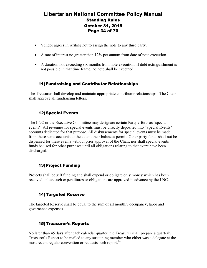## Libertarian National Committee Policy Manual Standing Rules October 31, 2015 Page 34 of 70

- Vendor agrees in writing not to assign the note to any third party.
- A rate of interest no greater than 12% per annum from date of note execution.
- A duration not exceeding six months from note execution. If debt extinguishment is not possible in that time frame, no note shall be executed.

#### 11)Fundraising and Contributor Relationships

The Treasurer shall develop and maintain appropriate contributor relationships. The Chair shall approve all fundraising letters.

#### 12)Special Events

The LNC or the Executive Committee may designate certain Party efforts as "special events". All revenues for special events must be directly deposited into "Special Events" accounts dedicated for that purpose. All disbursements for special events must be made from these same accounts to the extent their balances permit. Other party funds shall not be dispensed for these events without prior approval of the Chair, nor shall special events funds be used for other purposes until all obligations relating to that event have been discharged.

#### 13)Project Funding

Projects shall be self funding and shall expend or obligate only money which has been received unless such expenditures or obligations are approved in advance by the LNC.

#### 14)Targeted Reserve

The targeted Reserve shall be equal to the sum of all monthly occupancy, labor and governance expenses.

#### 15)Treasurer's Reports

No later than 45 days after each calendar quarter, the Treasurer shall prepare a quarterly Treasurer's Report to be mailed to any sustaining member who either was a delegate at the most recent regular convention or requests such report.<sup>44</sup>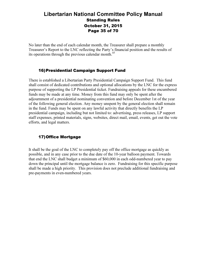## Libertarian National Committee Policy Manual Standing Rules October 31, 2015 Page 35 of 70

No later than the end of each calendar month, the Treasurer shall prepare a monthly Treasurer's Report to the LNC reflecting the Party's financial position and the results of its operations through the previous calendar month.<sup>45</sup>

#### 16)Presidential Campaign Support Fund

There is established a Libertarian Party Presidential Campaign Support Fund. This fund shall consist of dedicated contributions and optional allocations by the LNC for the express purpose of supporting the LP Presidential ticket. Fundraising appeals for these encumbered funds may be made at any time. Money from this fund may only be spent after the adjournment of a presidential nominating convention and before December 1st of the year of the following general election. Any money unspent by the general election shall remain in the fund. Funds may be spent on any lawful activity that directly benefits the LP presidential campaign, including but not limited to: advertising, press releases, LP support staff expenses, printed materials, signs, websites, direct mail, email, events, get out the vote efforts, and legal matters.

#### 17)Office Mortgage

It shall be the goal of the LNC to completely pay off the office mortgage as quickly as possible, and in any case prior to the due date of the 10-year balloon payment. Towards that end the LNC shall budget a minimum of \$60,000 in each odd-numbered year to pay down the principal until the mortgage balance is zero. Fundraising for this specific purpose shall be made a high priority. This provision does not preclude additional fundraising and pre-payments in even-numbered years.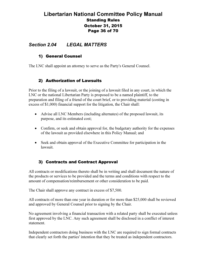## Libertarian National Committee Policy Manual Standing Rules October 31, 2015 Page 36 of 70

## Section 2.04 LEGAL MATTERS

#### 1) General Counsel

The LNC shall appoint an attorney to serve as the Party's General Counsel.

#### 2) Authorization of Lawsuits

Prior to the filing of a lawsuit, or the joining of a lawsuit filed in any court, in which the LNC or the national Libertarian Party is proposed to be a named plaintiff, to the preparation and filing of a friend of the court brief, or to providing material (costing in excess of \$1,000) financial support for the litigation, the Chair shall:

- Advise all LNC Members (including alternates) of the proposed lawsuit, its purpose, and its estimated cost;
- Confirm, or seek and obtain approval for, the budgetary authority for the expenses of the lawsuit as provided elsewhere in this Policy Manual; and
- Seek and obtain approval of the Executive Committee for participation in the lawsuit.

#### 3) Contracts and Contract Approval

All contracts or modifications thereto shall be in writing and shall document the nature of the products or services to be provided and the terms and conditions with respect to the amount of compensation/reimbursement or other consideration to be paid.

The Chair shall approve any contract in excess of \$7,500.

All contracts of more than one year in duration or for more than \$25,000 shall be reviewed and approved by General Counsel prior to signing by the Chair.

No agreement involving a financial transaction with a related party shall be executed unless first approved by the LNC. Any such agreement shall be disclosed in a conflict of interest statement.

Independent contractors doing business with the LNC are required to sign formal contracts that clearly set forth the parties' intention that they be treated as independent contractors.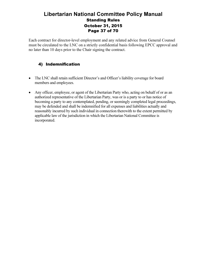## Libertarian National Committee Policy Manual Standing Rules October 31, 2015 Page 37 of 70

Each contract for director-level employment and any related advice from General Counsel must be circulated to the LNC on a strictly confidential basis following EPCC approval and no later than 10 days prior to the Chair signing the contract.

## 4) Indemnification

- The LNC shall retain sufficient Director's and Officer's liability coverage for board members and employees.
- Any officer, employee, or agent of the Libertarian Party who, acting on behalf of or as an authorized representative of the Libertarian Party, was or is a party to or has notice of becoming a party to any contemplated, pending, or seemingly completed legal proceedings, may be defended and shall be indemnified for all expenses and liabilities actually and reasonably incurred by such individual in connection therewith to the extent permitted by applicable law of the jurisdiction in which the Libertarian National Committee is incorporated.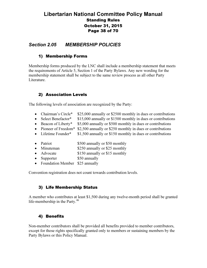## Libertarian National Committee Policy Manual Standing Rules October 31, 2015 Page 38 of 70

## Section 2.05 MEMBERSHIP POLICIES

#### 1) Membership Forms

Membership forms produced by the LNC shall include a membership statement that meets the requirements of Article 5, Section 1 of the Party Bylaws. Any new wording for the membership statement shall be subject to the same review process as all other Party Literature.

#### 2) Association Levels

The following levels of association are recognized by the Party:

- Chairman's Circle\* \$25,000 annually or \$2500 monthly in dues or contributions
- Select Benefactor\* \$15,000 annually or \$1500 monthly in dues or contributions
- Beacon of Liberty\* \$5,000 annually or \$500 monthly in dues or contributions
- Pioneer of Freedom<sup>\*</sup> \$2,500 annually or \$250 monthly in dues or contributions
- Lifetime Founder\* \$1,500 annually or \$150 monthly in dues or contributions
- Patriot \$500 annually or \$50 monthly
- Minuteman \$250 annually or \$25 monthly
- Advocate \$150 annually or \$15 monthly
- Supporter \$50 annually
- Foundation Member \$25 annually

Convention registration does not count towards contribution levels.

#### 3) Life Membership Status

A member who contributes at least \$1,500 during any twelve-month period shall be granted life-membership in the Party.<sup>46</sup>

#### 4) Benefits

Non-member contributors shall be provided all benefits provided to member contributors, except for those rights specifically granted only to members or sustaining members by the Party Bylaws or this Policy Manual.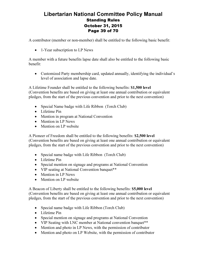## Libertarian National Committee Policy Manual Standing Rules October 31, 2015 Page 39 of 70

A contributor (member or non-member) shall be entitled to the following basic benefit:

• 1-Year subscription to LP News

A member with a future benefits lapse date shall also be entitled to the following basic benefit:

• Customized Party membership card, updated annually, identifying the individual's level of association and lapse date.

A Lifetime Founder shall be entitled to the following benefits: \$1,500 level (Convention benefits are based on giving at least one annual contribution or equivalent pledges, from the start of the previous convention and prior to the next convention)

- Special Name badge with Life Ribbon (Torch Club)
- Lifetime Pin
- Mention in program at National Convention
- Mention in LP News
- Mention on LP website

A Pioneer of Freedom shall be entitled to the following benefits: \$2,500 level (Convention benefits are based on giving at least one annual contribution or equivalent pledges, from the start of the previous convention and prior to the next convention)

- Special name badge with Life Ribbon (Torch Club)
- Lifetime Pin
- Special mention on signage and programs at National Convention
- VIP seating at National Convention banquet<sup>\*\*</sup>
- Mention in LP News
- Mention on LP website

A Beacon of Liberty shall be entitled to the following benefits: \$5,000 level (Convention benefits are based on giving at least one annual contribution or equivalent pledges, from the start of the previous convention and prior to the next convention)

- Special name badge with Life Ribbon (Torch Club)
- Lifetime Pin
- Special mention on signage and programs at National Convention
- VIP Seating with LNC member at National convention banquet\*\*
- Mention and photo in LP News, with the permission of contributor
- Mention and photo on LP Website, with the permission of contributor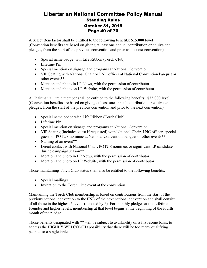## Libertarian National Committee Policy Manual Standing Rules October 31, 2015 Page 40 of 70

A Select Benefactor shall be entitled to the following benefits: \$15,000 level (Convention benefits are based on giving at least one annual contribution or equivalent pledges, from the start of the previous convention and prior to the next convention)

- Special name badge with Life Ribbon (Torch Club)
- Lifetime Pin
- Special mention on signage and programs at National Convention
- VIP Seating with National Chair or LNC officer at National Convention banquet or other events\*\*
- Mention and photo in LP News, with the permission of contributor
- Mention and photo on LP Website, with the permission of contributor

A Chairman's Circle member shall be entitled to the following benefits: \$25,000 level (Convention benefits are based on giving at least one annual contribution or equivalent pledges, from the start of the previous convention and prior to the next convention)

- Special name badge with Life Ribbon (Torch Club)
- Lifetime Pin
- Special mention on signage and programs at National Convention
- VIP Seating (includes guest if requested) with National Chair, LNC officer, special guest, or POTUS nominee at National Convention banquet or other events\*\*
- Naming of an event\*\*
- Direct contact with National Chair, POTUS nominee, or significant LP candidate during campaign season\*\*
- Mention and photo in LP News, with the permission of contributor
- Mention and photo on LP Website, with the permission of contributor

Those maintaining Torch Club status shall also be entitled to the following benefits:

- Special mailings
- Invitation to the Torch Club event at the convention

Maintaining the Torch Club membership is based on contributions from the start of the previous national convention to the END of the next national convention and shall consist of all those in the highest 5 levels (denoted by \*). For monthly pledges at the Lifetime Founder and higher levels, membership at that level begins at the beginning of the fourth month of the pledge.

Those benefits designated with \*\* will be subject to availability on a first-come basis, to address the HIGHLY WELCOMED possibility that there will be too many qualifying people for a single table.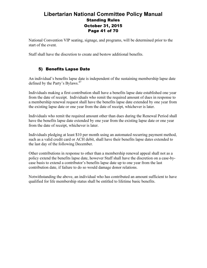## Libertarian National Committee Policy Manual Standing Rules October 31, 2015 Page 41 of 70

National Convention VIP seating, signage, and programs, will be determined prior to the start of the event.

Staff shall have the discretion to create and bestow additional benefits.

## 5) Benefits Lapse Date

An individual's benefits lapse date is independent of the sustaining membership lapse date defined by the Party's Bylaws.<sup>47</sup>

Individuals making a first contribution shall have a benefits lapse date established one year from the date of receipt. Individuals who remit the required amount of dues in response to a membership renewal request shall have the benefits lapse date extended by one year from the existing lapse date or one year from the date of receipt, whichever is later.

Individuals who remit the required amount other than dues during the Renewal Period shall have the benefits lapse date extended by one year from the existing lapse date or one year from the date of receipt, whichever is later.

Individuals pledging at least \$10 per month using an automated recurring payment method, such as a valid credit card or ACH debit, shall have their benefits lapse dates extended to the last day of the following December.

Other contributions in response to other than a membership renewal appeal shall not as a policy extend the benefits lapse date, however Staff shall have the discretion on a case-bycase basis to extend a contributor's benefits lapse date up to one year from the last contribution date, if failure to do so would damage donor relations.

Notwithstanding the above, an individual who has contributed an amount sufficient to have qualified for life membership status shall be entitled to lifetime basic benefits.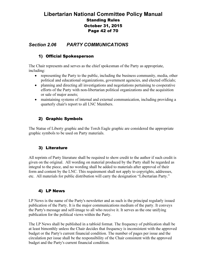## Libertarian National Committee Policy Manual Standing Rules October 31, 2015 Page 42 of 70

## Section 2.06 PARTY COMMUNICATIONS

#### 1) Official Spokesperson

The Chair represents and serves as the chief spokesman of the Party as appropriate, including:

- representing the Party to the public, including the business community, media, other political and educational organizations, government agencies, and elected officials;
- planning and directing all investigations and negotiations pertaining to cooperative efforts of the Party with non-libertarian political organizations and the acquisition or sale of major assets;
- maintaining systems of internal and external communication, including providing a quarterly chair's report to all LNC Members.

#### 2) Graphic Symbols

The Statue of Liberty graphic and the Torch Eagle graphic are considered the appropriate graphic symbols to be used on Party materials.

#### 3) Literature

All reprints of Party literature shall be required to show credit to the author if such credit is given on the original. All wording on material produced by the Party shall be regarded as integral to the piece, and no wording shall be added to materials after approval of their form and content by the LNC. This requirement shall not apply to copyrights, addresses, etc. All materials for public distribution will carry the designation "Libertarian Party."

#### 4) LP News

LP News is the name of the Party's newsletter and as such is the principal regularly issued publication of the Party. It is the major communications medium of the party. It conveys the Party's message and self-image to all who receive it. It serves as the one unifying publication for the political views within the Party.

The LP News shall be published in a tabloid format. The frequency of publication shall be at least bimonthly unless the Chair decides that frequency is inconsistent with the approved budget or the Party's current financial condition. The number of pages per issue and the circulation per issue shall be the responsibility of the Chair consistent with the approved budget and the Party's current financial condition.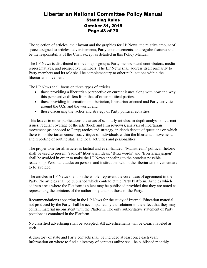## Libertarian National Committee Policy Manual Standing Rules October 31, 2015 Page 43 of 70

The selection of articles, their layout and the graphics for LP News, the relative amount of space assigned to articles, advertisements, Party announcements, and regular features shall be the responsibility of the Chair except as detailed in this Policy Manual.

The LP News is distributed to three major groups: Party members and contributors, media representatives, and prospective members. The LP News shall address itself primarily to Party members and its role shall be complementary to other publications within the libertarian movement.

The LP News shall focus on three types of articles:

- those providing a libertarian perspective on current issues along with how and why this perspective differs from that of other political parties;
- those providing information on libertarian, libertarian oriented and Party activities around the U.S. and the world; and
- those discussing the tactics and strategy of Party political activities.

This leaves to other publications the areas of scholarly articles, in-depth analysis of current issues, regular coverage of the arts (book and film reviews), analysis of libertarian movement (as opposed to Party) tactics and strategy, in-depth debate of questions on which there is no libertarian consensus, critique of individuals within the libertarian movement, and reporting of routine state and local activities and personalities.

The proper tone for all articles is factual and even-handed. "Mainstream" political rhetoric shall be used to present "radical" libertarian ideas. "Buzz words" and "libertarian jargon" shall be avoided in order to make the LP News appealing to the broadest possible readership. Personal attacks on persons and institutions within the libertarian movement are to be avoided.

The articles in LP News shall, on the whole, represent the core ideas of agreement in the Party. No articles shall be published which contradict the Party Platform. Articles which address areas where the Platform is silent may be published provided that they are noted as representing the opinions of the author only and not those of the Party.

Recommendations appearing in the LP News for the study of Internal Education material not produced by the Party shall be accompanied by a disclaimer to the effect that they may contain material inconsistent with the Platform. The only authoritative statement of Party positions is contained in the Platform.

No classified advertising shall be accepted. All advertisements will be clearly labeled as such.

A directory of state and Party contacts shall be included at least once each year. Information on where to find a directory of contacts online shall be published monthly.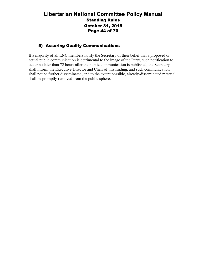## Libertarian National Committee Policy Manual Standing Rules October 31, 2015 Page 44 of 70

#### 5) Assuring Quality Communications

If a majority of all LNC members notify the Secretary of their belief that a proposed or actual public communication is detrimental to the image of the Party, such notification to occur no later than 72 hours after the public communication is published, the Secretary shall inform the Executive Director and Chair of this finding, and such communication shall not be further disseminated, and to the extent possible, already-disseminated material shall be promptly removed from the public sphere.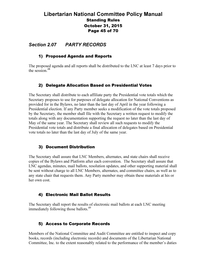## Libertarian National Committee Policy Manual Standing Rules October 31, 2015 Page 45 of 70

#### Section 2.07 PARTY RECORDS

#### 1) Proposed Agenda and Reports

The proposed agenda and all reports shall be distributed to the LNC at least 7 days prior to the session. $48$ 

#### 2) Delegate Allocation Based on Presidential Votes

The Secretary shall distribute to each affiliate party the Presidential vote totals which the Secretary proposes to use for purposes of delegate allocation for National Conventions as provided for in the Bylaws, no later than the last day of April in the year following a Presidential election. If any Party member seeks a modification of the vote totals proposed by the Secretary, the member shall file with the Secretary a written request to modify the totals along with any documentation supporting the request no later than the last day of May of the same year. The Secretary shall review all such requests to modify the Presidential vote totals and distribute a final allocation of delegates based on Presidential vote totals no later than the last day of July of the same year.

#### 3) Document Distribution

The Secretary shall assure that LNC Members, alternates, and state chairs shall receive copies of the Bylaws and Platform after each convention. The Secretary shall assure that LNC agendas, minutes, mail ballots, resolution updates, and other supporting material shall be sent without charge to all LNC Members, alternates, and committee chairs, as well as to any state chair that requests them. Any Party member may obtain these materials at his or her own cost.

#### 4) Electronic Mail Ballot Results

The Secretary shall report the results of electronic mail ballots at each LNC meeting immediately following those ballots.<sup>49</sup>

#### 5) Access to Corporate Records

Members of the National Committee and Audit Committee are entitled to inspect and copy books, records (including electronic records) and documents of the Libertarian National Committee, Inc. to the extent reasonably related to the performance of the member's duties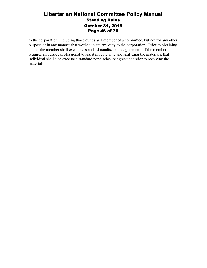## Libertarian National Committee Policy Manual Standing Rules October 31, 2015 Page 46 of 70

to the corporation, including those duties as a member of a committee, but not for any other purpose or in any manner that would violate any duty to the corporation. Prior to obtaining copies the member shall execute a standard nondisclosure agreement. If the member requires an outside professional to assist in reviewing and analyzing the materials, that individual shall also execute a standard nondisclosure agreement prior to receiving the materials.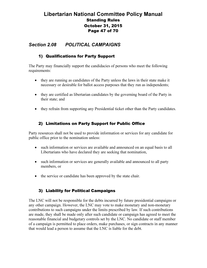## Libertarian National Committee Policy Manual Standing Rules October 31, 2015 Page 47 of 70

## Section 2.08 POLITICAL CAMPAIGNS

#### 1) Qualifications for Party Support

The Party may financially support the candidacies of persons who meet the following requirements:

- they are running as candidates of the Party unless the laws in their state make it necessary or desirable for ballot access purposes that they run as independents;
- they are certified as libertarian candidates by the governing board of the Party in their state; and
- they refrain from supporting any Presidential ticket other than the Party candidates.

## 2) Limitations on Party Support for Public Office

Party resources shall not be used to provide information or services for any candidate for public office prior to the nomination unless:

- such information or services are available and announced on an equal basis to all Libertarians who have declared they are seeking that nomination,
- such information or services are generally available and announced to all party members, or
- the service or candidate has been approved by the state chair.

#### 3) Liability for Political Campaigns

The LNC will not be responsible for the debts incurred by future presidential campaigns or any other campaign. However, the LNC may vote to make monetary and non-monetary contributions to such campaigns under the limits prescribed by law. If such contributions are made, they shall be made only after such candidate or campaign has agreed to meet the reasonable financial and budgetary controls set by the LNC. No candidate or staff member of a campaign is permitted to place orders, make purchases, or sign contracts in any manner that would lead a person to assume that the LNC is liable for the debt.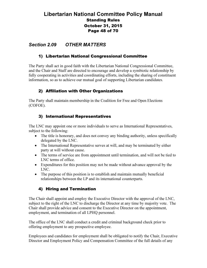## Libertarian National Committee Policy Manual Standing Rules October 31, 2015 Page 48 of 70

## Section 2.09 OTHER MATTERS

#### 1) Libertarian National Congressional Committee

The Party shall act in good faith with the Libertarian National Congressional Committee, and the Chair and Staff are directed to encourage and develop a symbiotic relationship by fully cooperating in activities and coordinating efforts, including the sharing of constituent information, so as to achieve our mutual goal of supporting Libertarian candidates.

#### 2) Affiliation with Other Organizations

The Party shall maintain membership in the Coalition for Free and Open Elections (COFOE).

#### 3) International Representatives

The LNC may appoint one or more individuals to serve as International Representatives, subject to the following:

- The title is honorary, and does not convey any binding authority, unless specifically delegated by the LNC.
- The International Representative serves at will, and may be terminated by either party at will without cause.
- The terms of service are from appointment until termination, and will not be tied to LNC terms of office.
- Expenditures for this position may not be made without advance approval by the LNC.
- The purpose of this position is to establish and maintain mutually beneficial relationships between the LP and its international counterparts.

#### 4) Hiring and Termination

The Chair shall appoint and employ the Executive Director with the approval of the LNC, subject to the right of the LNC to discharge the Director at any time by majority vote. The Chair shall provide advice and consent to the Executive Director on the appointment, employment, and termination of all LPHQ personnel.

The office of the LNC shall conduct a credit and criminal background check prior to offering employment to any prospective employee.

Employees and candidates for employment shall be obligated to notify the Chair, Executive Director and Employment Policy and Compensation Committee of the full details of any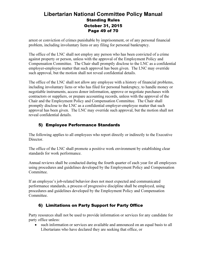## Libertarian National Committee Policy Manual Standing Rules October 31, 2015 Page 49 of 70

arrest or conviction of crimes punishable by imprisonment, or of any personal financial problem, including involuntary liens or any filing for personal bankruptcy.

The office of the LNC shall not employ any person who has been convicted of a crime against property or person, unless with the approval of the Employment Policy and Compensation Committee. The Chair shall promptly disclose to the LNC as a confidential employer-employee matter that such approval has been given. The LNC may override such approval, but the motion shall not reveal confidential details.

The office of the LNC shall not allow any employee with a history of financial problems, including involuntary liens or who has filed for personal bankruptcy, to handle money or negotiable instruments, access donor information, approve or negotiate purchases with contractors or suppliers, or prepare accounting records, unless with the approval of the Chair and the Employment Policy and Compensation Committee. The Chair shall promptly disclose to the LNC as a confidential employer-employee matter that such approval has been given. The LNC may override such approval, but the motion shall not reveal confidential details.

## 5) Employee Performance Standards

The following applies to all employees who report directly or indirectly to the Executive Director.

The office of the LNC shall promote a positive work environment by establishing clear standards for work performance.

Annual reviews shall be conducted during the fourth quarter of each year for all employees using procedures and guidelines developed by the Employment Policy and Compensation Committee.

If an employee's job-related behavior does not meet expected and communicated performance standards, a process of progressive discipline shall be employed, using procedures and guidelines developed by the Employment Policy and Compensation Committee.

## 6) Limitations on Party Support for Party Office

Party resources shall not be used to provide information or services for any candidate for party office unless:

• such information or services are available and announced on an equal basis to all Libertarians who have declared they are seeking that office, or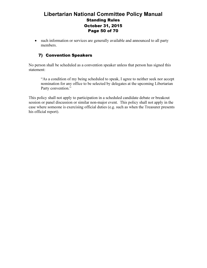## Libertarian National Committee Policy Manual Standing Rules October 31, 2015 Page 50 of 70

• such information or services are generally available and announced to all party members.

## 7) Convention Speakers

No person shall be scheduled as a convention speaker unless that person has signed this statement:

"As a condition of my being scheduled to speak, I agree to neither seek nor accept nomination for any office to be selected by delegates at the upcoming Libertarian Party convention."

This policy shall not apply to participation in a scheduled candidate debate or breakout session or panel discussion or similar non-major event. This policy shall not apply in the case where someone is exercising official duties (e.g. such as when the Treasurer presents his official report).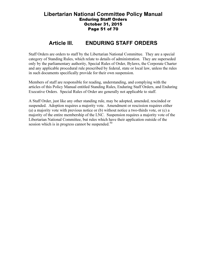#### Libertarian National Committee Policy Manual Enduring Staff Orders October 31, 2015 Page 51 of 70

## Article III. ENDURING STAFF ORDERS

Staff Orders are orders to staff by the Libertarian National Committee. They are a special category of Standing Rules, which relate to details of administration. They are superseded only by the parliamentary authority, Special Rules of Order, Bylaws, the Corporate Charter and any applicable procedural rule prescribed by federal, state or local law, unless the rules in such documents specifically provide for their own suspension.

Members of staff are responsible for reading, understanding, and complying with the articles of this Policy Manual entitled Standing Rules, Enduring Staff Orders, and Enduring Executive Orders. Special Rules of Order are generally not applicable to staff.

A Staff Order, just like any other standing rule, may be adopted, amended, rescinded or suspended. Adoption requires a majority vote. Amendment or rescission requires either (a) a majority vote with previous notice or (b) without notice a two-thirds vote, or (c) a majority of the entire membership of the LNC. Suspension requires a majority vote of the Libertarian National Committee, but rules which have their application outside of the session which is in progress cannot be suspended. $50$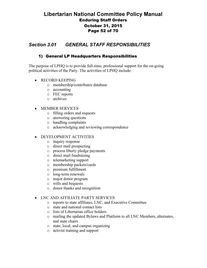## Libertarian National Committee Policy Manual Enduring Staff Orders October 31, 2015 Page 52 of 70

## Section 3.01 GENERAL STAFF RESPONSIBILITIES

#### 1) General LP Headquarters Responsibilities

The purpose of LPHQ is to provide full-time, professional support for the on-going political activities of the Party. The activities of LPHQ include:

- RECORD KEEPING
	- o membership/contributor database
	- o accounting
	- o FEC reports
	- o archives
- MEMBER SERVICES
	- o filling orders and requests
	- o answering questions
	- o handling complaints
	- o acknowledging and reviewing correspondence

#### • DEVELOPMENT ACTIVITIES

- o inquiry response
- o direct mail prospecting
- o process liberty pledge payments
- o direct mail fundraising
- o telemarketing support
- o membership packets/cards
- o premium fulfillment
- o long-term renewals
- o major donor program
- o wills and bequests
- o donor thanks and recognition

#### • LNC AND AFFILIATE PARTY SERVICES

- o reports to state affiliates, LNC, and Executive Committee
- o state and national contact lists
- o lists of Libertarian office holders
- o mailing the updated Bylaws and Platform to all LNC Members, alternates, and state chairs
- o state, local, and campus organizing
- o activist training and support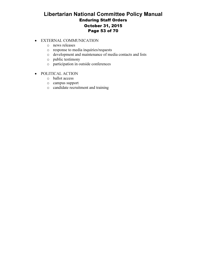## Libertarian National Committee Policy Manual Enduring Staff Orders October 31, 2015 Page 53 of 70

- EXTERNAL COMMUNICATION
	- o news releases
	- o response to media inquiries/requests
	- o development and maintenance of media contacts and lists
	- o public testimony
	- o participation in outside conferences
- POLITICAL ACTION
	- o ballot access
	- o campus support
	- o candidate recruitment and training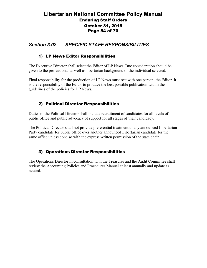## Libertarian National Committee Policy Manual Enduring Staff Orders October 31, 2015 Page 54 of 70

## Section 3.02 SPECIFIC STAFF RESPONSIBILITIES

#### 1) LP News Editor Responsibilities

The Executive Director shall select the Editor of LP News. Due consideration should be given to the professional as well as libertarian background of the individual selected.

Final responsibility for the production of LP News must rest with one person: the Editor. It is the responsibility of the Editor to produce the best possible publication within the guidelines of the policies for LP News.

#### 2) Political Director Responsibilities

Duties of the Political Director shall include recruitment of candidates for all levels of public office and public advocacy of support for all stages of their candidacy.

The Political Director shall not provide preferential treatment to any announced Libertarian Party candidate for public office over another announced Libertarian candidate for the same office unless done so with the express written permission of the state chair.

#### 3) Operations Director Responsibilities

The Operations Director in consultation with the Treasurer and the Audit Committee shall review the Accounting Policies and Procedures Manual at least annually and update as needed.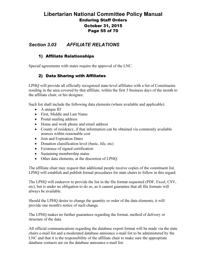## Libertarian National Committee Policy Manual Enduring Staff Orders October 31, 2015 Page 55 of 70

## Section 3.03 AFFILIATE RELATIONS

#### 1) Affiliate Relationships

Special agreements with states require the approval of the LNC.

#### 2) Data Sharing with Affiliates

LPHQ will provide all officially recognized state-level affiliates with a list of Constituents residing in the area covered by that affiliate, within the first 5 business days of the month to the affiliate chair, or his designee.

Such list shall include the following data elements (where available and applicable):

- A unique ID
- First, Middle and Last Name
- Postal mailing address
- Home and work phone and email address
- County of residency, if that information can be obtained via commonly available sources within reasonable cost
- Join and Expiration Dates
- Donation classification level (basic, life, etc)
- Existence of signed certification
- Sustaining membership status
- Other data elements, at the discretion of LPHO

The affiliate chair may request that additional people receive copies of the constituent list. LPHQ will establish and publish formal procedures for state chairs to follow in this regard.

The LPHQ will endeavor to provide the list in the file format requested (PDF, Excel, CSV, etc), but is under no obligation to do so, as it cannot guarantee that all file formats will always be available.

Should the LPHQ desire to change the quantity or order of the data elements, it will provide one month's notice of such change.

The LPHQ makes no further guarantees regarding the format, method of delivery or structure of the data.

All official communications regarding the database export format will be made via the state chairs e-mail list and a moderated database announce e-mail list to be administered by the LNC and that it is the responsibility of the affiliate chair to make sure the appropriate database contacts are on the database announce e-mail list.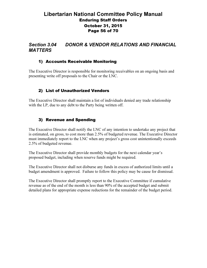## Libertarian National Committee Policy Manual Enduring Staff Orders October 31, 2015 Page 56 of 70

## Section 3.04 DONOR & VENDOR RELATIONS AND FINANCIAL **MATTERS**

#### 1) Accounts Receivable Monitoring

The Executive Director is responsible for monitoring receivables on an ongoing basis and presenting write off proposals to the Chair or the LNC.

## 2) List of Unauthorized Vendors

The Executive Director shall maintain a list of individuals denied any trade relationship with the LP, due to any debt to the Party being written off.

#### 3) Revenue and Spending

The Executive Director shall notify the LNC of any intention to undertake any project that is estimated, on gross, to cost more than 2.5% of budgeted revenue. The Executive Director must immediately report to the LNC when any project's gross cost unintentionally exceeds 2.5% of budgeted revenue.

The Executive Director shall provide monthly budgets for the next calendar year's proposed budget, including when reserve funds might be required.

The Executive Director shall not disburse any funds in excess of authorized limits until a budget amendment is approved. Failure to follow this policy may be cause for dismissal.

The Executive Director shall promptly report to the Executive Committee if cumulative revenue as of the end of the month is less than 90% of the accepted budget and submit detailed plans for appropriate expense reductions for the remainder of the budget period.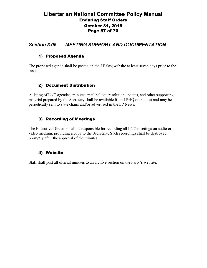## Libertarian National Committee Policy Manual Enduring Staff Orders October 31, 2015 Page 57 of 70

## Section 3.05 MEETING SUPPORT AND DOCUMENTATION

#### 1) Proposed Agenda

The proposed agenda shall be posted on the LP.Org website at least seven days prior to the session.

#### 2) Document Distribution

A listing of LNC agendas, minutes, mail ballots, resolution updates, and other supporting material prepared by the Secretary shall be available from LPHQ on request and may be periodically sent to state chairs and/or advertised in the LP News.

#### 3) Recording of Meetings

The Executive Director shall be responsible for recording all LNC meetings on audio or video medium, providing a copy to the Secretary. Such recordings shall be destroyed promptly after the approval of the minutes.

#### 4) Website

Staff shall post all official minutes to an archive section on the Party's website.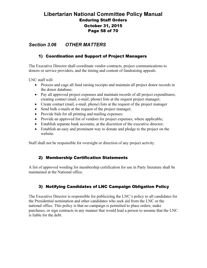## Libertarian National Committee Policy Manual Enduring Staff Orders October 31, 2015 Page 58 of 70

## Section 3.06 OTHER MATTERS

#### 1) Coordination and Support of Project Managers

The Executive Director shall coordinate vendor contracts, project communications to donors or service providers, and the timing and content of fundraising appeals.

LNC staff will:

- Process and cage all fund raising receipts and maintain all project donor records in the donor database;
- Pay all approved project expenses and maintain records of all project expenditures; creating contact (mail, e-mail, phone) lists at the request project manager;
- Create contact (mail, e-mail, phone) lists at the request of the project manager
- Send bulk e-mails at the request of the project manager;
- Provide bids for all printing and mailing expenses;
- Provide an approved list of vendors for project expenses, where applicable;
- Establish separate bank accounts, at the discretion of the executive director;
- Establish an easy and prominent way to donate and pledge to the project on the website.

Staff shall not be responsible for oversight or direction of any project activity.

#### 2) Membership Certification Statements

A list of approved wording for membership certification for use in Party literature shall be maintained at the National office.

#### 3) Notifying Candidates of LNC Campaign Obligation Policy

The Executive Director is responsible for publicizing the LNC's policy to all candidates for the Presidential nomination and other candidates who seek aid from the LNC or the national office. This policy is that no campaign is permitted to place orders, make purchases, or sign contracts in any manner that would lead a person to assume that the LNC is liable for the debt.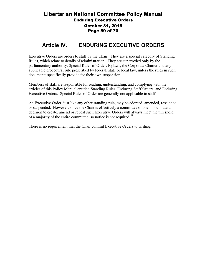## Libertarian National Committee Policy Manual Enduring Executive Orders October 31, 2015 Page 59 of 70

## Article IV. ENDURING EXECUTIVE ORDERS

Executive Orders are orders to staff by the Chair. They are a special category of Standing Rules, which relate to details of administration. They are superseded only by the parliamentary authority, Special Rules of Order, Bylaws, the Corporate Charter and any applicable procedural rule prescribed by federal, state or local law, unless the rules in such documents specifically provide for their own suspension.

Members of staff are responsible for reading, understanding, and complying with the articles of this Policy Manual entitled Standing Rules, Enduring Staff Orders, and Enduring Executive Orders. Special Rules of Order are generally not applicable to staff.

An Executive Order, just like any other standing rule, may be adopted, amended, rescinded or suspended. However, since the Chair is effectively a committee of one, his unilateral decision to create, amend or repeal such Executive Orders will always meet the threshold of a majority of the entire committee, so notice is not required.<sup>51</sup>

There is no requirement that the Chair commit Executive Orders to writing.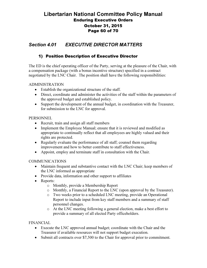## Libertarian National Committee Policy Manual Enduring Executive Orders October 31, 2015 Page 60 of 70

## Section 4.01 EXECUTIVE DIRECTOR MATTERS

#### 1) Position Description of Executive Director

The ED is the chief operating officer of the Party, serving at the pleasure of the Chair, with a compensation package (with a bonus incentive structure) specified in a contract negotiated by the LNC Chair. The position shall have the following responsibilities:

#### ADMINISTRATION

- Establish the organizational structure of the staff.
- Direct, coordinate and administer the activities of the staff within the parameters of the approved budget and established policy.
- Support the development of the annual budget, in coordination with the Treasurer, for submission to the LNC for approval.

#### PERSONNEL

- Recruit, train and assign all staff members
- Implement the Employee Manual; ensure that it is reviewed and modified as appropriate to continually reflect that all employees are highly valued and their rights are protected.
- Regularly evaluate the performance of all staff; counsel them regarding improvement and how to better contribute to staff effectiveness.
- Appoint, employ and terminate staff in consultation with the Chair.

#### COMMUNICATIONS

- Maintain frequent and substantive contact with the LNC Chair; keep members of the LNC informed as appropriate
- Provide data, information and other support to affiliates
- Reports:
	- o Monthly, provide a Membership Report
	- o Monthly, a Financial Report to the LNC (upon approval by the Treasurer).
	- o Two weeks prior to a scheduled LNC meeting, provide an Operational Report to include input from key staff members and a summary of staff personnel changes.
	- o At the LNC meeting following a general election, make a best effort to provide a summary of all elected Party officeholders.

#### FINANCIAL

- Execute the LNC approved annual budget; coordinate with the Chair and the Treasurer if available resources will not support budget execution.
- Submit all contracts over \$7,500 to the Chair for approval prior to commitment.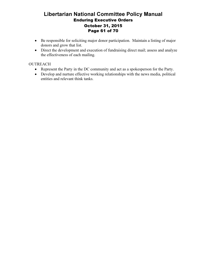## Libertarian National Committee Policy Manual Enduring Executive Orders October 31, 2015 Page 61 of 70

- Be responsible for soliciting major donor participation. Maintain a listing of major donors and grow that list.
- Direct the development and execution of fundraising direct mail; assess and analyze the effectiveness of each mailing.

#### **OUTREACH**

- Represent the Party in the DC community and act as a spokesperson for the Party.
- Develop and nurture effective working relationships with the news media, political entities and relevant think tanks.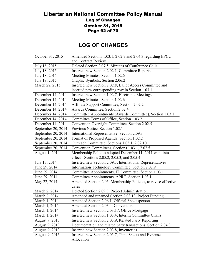## Libertarian National Committee Policy Manual Log of Changes October 31, 2015 Page 62 of 70

# LOG OF CHANGES

| October 31, 2015   | Amended Sections 1.03.1, 2.02.7 and 2.04.3 regarding EPCC      |
|--------------------|----------------------------------------------------------------|
|                    | and Contract Review                                            |
| July 18, 2015      | Deleted Section 2.07.5, Minutes of Conference Calls            |
| July 18, 2015      | Inserted new Section 2.02.1, Committee Reports                 |
| July 18, 2015      | Meeting Minutes, Section 1.02.6                                |
| July 18, 2015      | Graphic Symbols, Section 2.06.2                                |
| March 28, 2015     | Inserted new Section 2.02.8, Ballot Access Committee and       |
|                    | inserted new corresponding row in Section 1.03.1               |
| December 14, 2014  | Inserted new Section 1.02.7, Electronic Meetings               |
| December 14, 2014  | Meeting Minutes, Section 1.02.6                                |
| December 14, 2014  | Affiliate Support Committee, Section 2.02.2                    |
| December 14, 2014  | Awards Committee, Section 2.02.4                               |
| December 14, 2014  | Committee Appointments (Awards Committee), Section 1.03.1      |
| December 14, 2014  | Committee Terms of Office, Section 1.03.2                      |
| December 14, 2014  | Convention Oversight Committee, Section 2.02.5                 |
| September 20, 2014 | Previous Notice, Section 1.02.1                                |
| September 20, 2014 | International Representative, Section 2.09.3                   |
| September 20, 2014 | Format of Proposed Agenda, Section 1.02.2                      |
| September 20, 2014 | Outreach Committee, Sections 1.03.1, 2.02.10                   |
| September 20, 2014 | Convention Committees, Sections 1.03.1, 2.02.5                 |
| August 1, 2014     | Membership Policies adopted December 11, 2011 went into        |
|                    | effect - Sections 2.05.2, 2.05.3, and 2.05.4                   |
| July 13, 2014      | Inserted new Section 2.09.3, International Representatives     |
| June 29, 2014      | Information Technology Committee, Section 2.02.9               |
| June 29, 2014      | Committee Appointments, IT Committee, Section 1.03.1           |
| June 29, 2014      | Committee Appointments, APRC, Section 1.03.1                   |
| May 22, 2014       | Amended Section 2.05, Membership Policies, to revise effective |
|                    | dates                                                          |
| March 2, 2014      | Deleted Section 2.09.3, Project Administration                 |
| March 2, 2014      | Amended and renamed Section 2.03.13, Project Funding           |
| March 1, 2014      | Amended Section 2.06.1, Official Spokesperson                  |
| March 1, 2014      | Amended Section 2.03.4, Conventions                            |
| March 1, 2014      | Inserted new Section 2.03.17, Office Mortgage                  |
| March 1, 2014      | Inserted new Section 1.03.4, Interim Committee Chairs          |
| August 9, 2013     | Inserted new Section 2.03.9, Related Party Reporting           |
| August 9, 2013     | Documentation and related party transactions, Section 2.04.3   |
| August 9, 2013     | Inserted new Section 2.03.8, Inventories                       |
| August 9, 2013     | Inserted new Section 2.03.7, Time Sheets and Expense           |
|                    | Allocation                                                     |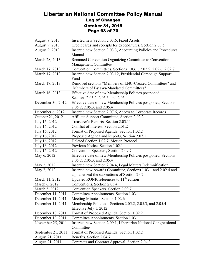## Libertarian National Committee Policy Manual Log of Changes October 31, 2015 Page 63 of 70

| August 9, 2013     | Inserted new Section 2.03.6, Fixed Assets                       |
|--------------------|-----------------------------------------------------------------|
| August 9, 2013     | Credit cards and receipts for expenditures, Section 2.03.5      |
| August 9, 2013     | Inserted new Section 3.03.3, Accounting Policies and Procedures |
|                    | Manual                                                          |
| March 28, 2013     | Renamed Convention Organizing Committee to Convention           |
|                    | Management Committee                                            |
| March 17, 2013     | Convention Committees, Sections 1.03.1, 2.02.5, 2.02.6, 2.02.7  |
| March 17, 2013     | Inserted new Section 2.03.12, Presidential Campaign Support     |
|                    | Fund                                                            |
| March 17, 2013     | Removed sections "Members of LNC-Created Committees" and        |
|                    | "Members of Bylaws-Mandated Committees"                         |
| March 16, 2013     | Effective date of new Membership Policies postponed,            |
|                    | Sections 2.05.2, 2.05.3, and 2.05.4                             |
| December 30, 2012  | Effective date of new Membership Policies postponed, Sections   |
|                    | 2.05.2, 2.05.3, and 2.05.4                                      |
| December 6, 2012   | Inserted new Section 2.07.6, Access to Corporate Records        |
| October 21, 2012   | Affiliate Support Committee, Section 2.02.2                     |
| July 16, 2012      | Treasurer's Reports, Section 2.03.11                            |
| July 16, 2012      | Conflict of Interest, Section 2.01.2                            |
| July 16, 2012      | Format of Proposed Agenda, Section 1.02.2                       |
| July 16, 2012      | Proposed Agenda and Reports, Section 2.07.1                     |
| July 16, 2012      | Deleted Section 1.02.7, Motion Protocol                         |
| July 16, 2012      | Previous Notice, Section 1.02.1                                 |
| July 16, 2012      | Convention Speakers, Section 2.09.7                             |
| May 6, 2012        | Effective date of new Membership Policies postponed, Sections   |
|                    | 2.05.2, 2.05.3, and 2.05.4                                      |
| May 2, 2012        | Inserted new Section 2.04.4, Legal Matters Indemnification      |
| May 2, 2012        | Inserted new Awards Committee, Sections 1.03.1 and 2.02.4 and   |
|                    | alphabetized the subsections of Section 2.02                    |
| March 11, 2012     | Updated RONR references to $11th$ edition                       |
| March 6, 2012      | Conventions, Section 2.03.4                                     |
| March 5, 2012      | Convention Speakers, Section 2.09.7                             |
| December 11, 2011  | Committee Appointments, Section 1.03.1                          |
| December 11, 2011  | Meeting Minutes, Section 1.02.6                                 |
| December 11, 2011  | Membership Policies – Sections 2.05.2, 2.05.3, and 2.05.4 –     |
|                    | Effective July 1, 2012                                          |
| December 10, 2011  | Format of Proposed Agenda, Section 1.02.2                       |
| December 10, 2011  | Committee Appointments, Section 1.03.1                          |
| November 25, 2011  | Inserted new Section 2.09.1, Libertarian National Congressional |
|                    | Committee                                                       |
| September 21, 2011 | Format of Proposed Agenda, Section 1.02.2                       |
| August 21, 2011    | Benefits, Section 2.04.7                                        |
| August 21, 2011    | Contracts and Contract Approval, Section 2.04.3                 |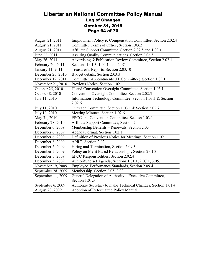## Libertarian National Committee Policy Manual Log of Changes October 31, 2015 Page 64 of 70

| August 21, 2011    | Employment Policy & Compensation Committee, Section 2.02.4    |
|--------------------|---------------------------------------------------------------|
| August 21, 2011    | Committee Terms of Office, Section 1.03.2                     |
| August 21, 2011    | Affiliate Support Committee, Section 2.02.5 and 1.03.1        |
| June 22, 2011      | Assuring Quality Communications, Section 2.06.5               |
| May 26, 2011       | Advertising & Publication Review Committee, Section 2.02.1    |
| February 20, 2011  | Sections 1.01.3, 1.04.1, and 2.07.4                           |
| January 11, 2011   | Treasurer's Reports, Section 2.03.10                          |
| December 26, 2010  | Budget details, Section 2.03.3                                |
| December 12, 2011  | Committee Appointments (IT Committee), Section 1.03.1         |
| November 21, 2010  | Previous Notice, Section 1.02.1                               |
| October 25, 2010   | IT and Convention Oversight Committee, Section 1.03.1         |
| October 8, 2010    | Convention Oversight Committee, Section 2.02.3                |
| July 11, 2010      | Information Technology Committee, Section 1.03.1 & Section    |
|                    | 2.02.6                                                        |
| July 11, 2010      | Outreach Committee, Section 1.03.1 & Section 2.02.7           |
| July 10, 2010      | Meeting Minutes, Section 1.02.6                               |
| May 31, 2010       | EPCC and Convention Committee, Section 1.03.1                 |
| February 28, 2010  | Affiliate Support Committee, Section 2.                       |
| December 6, 2009   | Membership Benefits - Renewals, Section 2.05                  |
| December 6, 2009   | Agenda Format, Section 1.02.1                                 |
| December 6, 2009   | Definition of Previous Notice for Meetings, Section 1.02.1    |
| December 6, 2009   | APRC, Section 2.02                                            |
| December 6, 2009   | Hiring and Termination, Section 2.09.3                        |
| December 5, 2009   | Policy on Merit Based Relationships, Section 2.01.3           |
| December 5, 2009   | EPCC Responsibilities, Section 2.02.4                         |
| December 5, 2009   | Authority to set Agenda, Sections 1.01.1, 2.07.1, 3.05.1      |
| November 19, 2009  | Employee Performance Standards, Section 2.09.4                |
| September 28, 2009 | Membership, Section 2.05, 3.03                                |
| September 11, 2009 | General Delegation of Authority - Executive Committee,        |
|                    | Section 1.01.3                                                |
| September 6, 2009  | Authorize Secretary to make Technical Changes, Section 1.01.4 |
| August 20, 2009    | <b>Adoption of Reformatted Policy Manual</b>                  |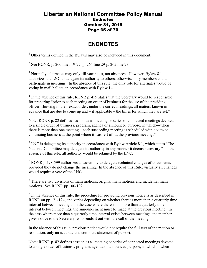#### Libertarian National Committee Policy Manual Endnotes October 31, 2015 Page 65 of 70

## ENDNOTES

<sup>1</sup> Other terms defined in the Bylaws may also be included in this document.

<sup>2</sup> See RONR, p. 260 lines 19-22, p. 264 line 29-p. 265 line 23.

<sup>3</sup> Normally, alternates may only fill vacancies, not absences. However, Bylaw 8.1 authorizes the LNC to delegate its authority to others, otherwise only members could participate in meetings. In the absence of this rule, the only role for alternates would be voting in mail ballots, in accordance with Bylaw 14.

<sup>4</sup> In the absence of this rule, RONR p. 459 states that the Secretary would be responsible for preparing "prior to each meeting an order of business for the use of the presiding officer, showing in their exact order, under the correct headings, all matters known in advance that are due to come up and – if applicable – the times for which they are set."

Note: RONR p. 82 defines session as a "meeting or series of connected meetings devoted to a single order of business, program, agenda or announced purpose, in which—when there is more than one meeting—each succeeding meeting is scheduled with a view to continuing business at the point where it was left off at the previous meeting."

 $<sup>5</sup>$  LNC is delegating its authority in accordance with Bylaw Article 8.1, which states "The</sup> National Committee may delegate its authority in any manner it deems necessary." In the absence of this rule, all authority would be retained by the LNC.

<sup>6</sup> RONR p.598-599 authorizes an assembly to delegate technical changes of documents, provided they do not change the meaning. In the absence of this Rule, virtually all changes would require a vote of the LNC.

 $7$  There are two divisions of main motions, original main motions and incidental main motions. See RONR pp.100-102.

<sup>8</sup> In the absence of this rule, the procedure for providing previous notice is as described in RONR on pp.121-124, and varies depending on whether there is more than a quarterly time interval between meetings. In the case where there is no more than a quarterly time interval between meetings, the announcement must be made at the previous meeting. In the case where more than a quarterly time interval exists between meetings, the member gives notice to the Secretary, who sends it out with the call of the meeting.

In the absence of this rule, previous notice would not require the full text of the motion or resolution, only an accurate and complete statement of purport.

Note: RONR p. 82 defines session as a "meeting or series of connected meetings devoted to a single order of business, program, agenda or announced purpose, in which—when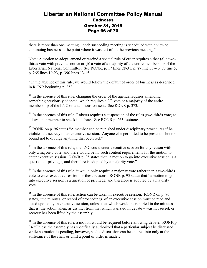## Libertarian National Committee Policy Manual **Endnotes** October 31, 2015 Page 66 of 70

there is more than one meeting—each succeeding meeting is scheduled with a view to continuing business at the point where it was left off at the previous meeting."

-

Note: A motion to adopt, amend or rescind a special rule of order requires either (a) a twothirds vote with previous notice or (b) a vote of a majority of the entire membership of the Libertarian National Committee. See RONR, p. 17 lines 28-31, p. 87 line 33 – p. 88 line 5, p. 265 lines 19-23, p. 390 lines 13-15.

 $9<sup>9</sup>$  In the absence of this rule, we would follow the default of order of business as described in RONR beginning p. 353.

 $10$  In the absence of this rule, changing the order of the agenda requires amending something previously adopted, which requires a 2/3 vote or a majority of the entire membership of the LNC or unanimous consent. See RONR p. 373.

 $11$  In the absence of this rule, Roberts requires a suspension of the rules (two-thirds vote) to allow a nonmember to speak in debate. See RONR p. 263 footnote.

 $12$  RONR on p. 96 states "A member can be punished under disciplinary procedures if he violates the secrecy of an executive session. Anyone else permitted to be present is honorbound not to divulge anything that occurred."

 $13$  In the absence of this rule, the LNC could enter executive session for any reason with only a majority vote, and there would be no such content requirements for the motion to enter executive session. RONR p. 95 states that "a motion to go into executive session is a question of privilege, and therefore is adopted by a majority vote."

 $14$  In the absence of this rule, it would only require a majority vote rather than a two-thirds vote to enter executive session for these reasons. RONR p. 95 states that "a motion to go into executive session is a question of privilege, and therefore is adopted by a majority vote."

<sup>15</sup> In the absence of this rule, action can be taken in executive session. RONR on p. 96 states, "the minutes, or record of proceedings, of an executive session must be read and acted upon only in executive session, unless that which would be reported in the minutes – that is, the action taken, as distinct from that which was said in debate – was not secret, or secrecy has been lifted by the assembly."

 $16$  In the absence of this rule, a motion would be required before allowing debate. RONR p. 34 "Unless the assembly has specifically authorized that a particular subject be discussed while no motion is pending, however, such a discussion can be entered into only at the sufferance of the chair or until a point of order is made..."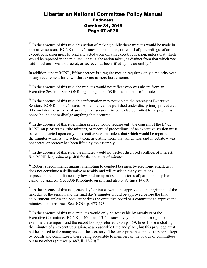## Libertarian National Committee Policy Manual **Endnotes** October 31, 2015 Page 67 of 70

- $17$  In the absence of this rule, this action of making public these minutes would be made in executive session. RONR on p. 96 states, "the minutes, or record of proceedings, of an executive session must be read and acted upon only in executive session, unless that which would be reported in the minutes – that is, the action taken, as distinct from that which was said in debate – was not secret, or secrecy has been lifted by the assembly."

In addition, under RONR, lifting secrecy is a regular motion requiring only a majority vote, so any requirement for a two-thirds vote is more burdensome.

<sup>18</sup> In the absence of this rule, the minutes would not reflect who was absent from an Executive Session. See RONR beginning at p. 468 for the contents of minutes.

 $19$  In the absence of this rule, this information may not violate the secrecy of Executive Session. RONR on p. 96 states "A member can be punished under disciplinary procedures if he violates the secrecy of an executive session. Anyone else permitted to be present is honor-bound not to divulge anything that occurred."

 $^{20}$  In the absence of this rule, lifting secrecy would require only the consent of the LNC. RONR on p. 96 states, "the minutes, or record of proceedings, of an executive session must be read and acted upon only in executive session, unless that which would be reported in the minutes – that is, the action taken, as distinct from that which was said in debate – was not secret, or secrecy has been lifted by the assembly."

 $21$  In the absence of this rule, the minutes would not reflect disclosed conflicts of interest. See RONR beginning at p. 468 for the contents of minutes.

 $22$  Robert's recommends against attempting to conduct business by electronic email, as it does not constitute a deliberative assembly and will result in many situations unprecedented in parliamentary law, and many rules and customs of parliamentary law cannot be applied. See RONR footnote on p. 1 and also p. 98 lines 14-19.

<sup>23</sup> In the absence of this rule, each day's minutes would be approved at the beginning of the next day of the session and the final day's minutes would be approved before the final adjournment, unless the body authorizes the executive board or a committee to approve the minutes at a later time. See RONR p. 473-475.

 $24$  In the absence of this rule, minutes would only be accessible by members of the Executive Committee. RONR p. 460 lines 13-20 states "Any member has a right to examine these reports and the record book(s) referred to on p. 459, lines 13-16 including the minutes of an executive session, at a reasonable time and place, but this privilege must not be abused to the annoyance of the secretary. The same principle applies to records kept by boards and committees, these being accessible to members of the boards or committees but to no others (but see p. 487, ll. 13-20)."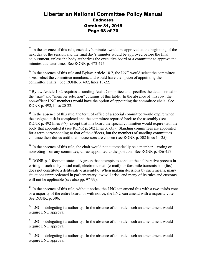## Libertarian National Committee Policy Manual **Endnotes** October 31, 2015 Page 68 of 70

 $25$  In the absence of this rule, each day's minutes would be approved at the beginning of the next day of the session and the final day's minutes would be approved before the final adjournment, unless the body authorizes the executive board or a committee to approve the minutes at a later time. See RONR p. 473-475.

-

 $26$  In the absence of this rule and Bylaw Article 10.2, the LNC would select the committee sizes, select the committee members, and would have the option of appointing the committee chairs. See RONR p. 492, lines 13-22.

 $27$  Bylaw Article 10.2 requires a standing Audit Committee and specifies the details noted in the "size" and "member selection" columns of this table. In the absence of this row, the non-officer LNC members would have the option of appointing the committee chair. See RONR p. 492, lines 20-22.

 $28$  In the absence of this rule, the term of office of a special committee would expire when the assigned task is completed and the committee reported back to the assembly (see RONR p. 492 lines 3-7), except that in a board the special committee would expire with the body that appointed it (see RONR p. 502 lines 31-35). Standing committees are appointed for a term corresponding to that of the officers, but the members of standing committees continue their duties until their successors are chosen (see RONR p. 502 lines 14-25).

 $^{29}$  In the absence of this rule, the chair would not automatically be a member – voting or nonvoting – on any committee, unless appointed to the position. See RONR p. 456-457.

 $30$  RONR p. 1 footnote states: "A group that attempts to conduct the deliberative process in writing – such as by postal mail, electronic mail (e-mail), or facsimile transmission (fax) – does not constitute a deliberative assembly. When making decisions by such means, many situations unprecedented in parliamentary law will arise, and many of its rules and customs will not be applicable (see also pp. 97-99).

 $31$  In the absence of this rule, without notice, the LNC can amend this with a two-thirds vote or a majority of the entire board; or with notice, the LNC can amend with a majority vote. See RONR, p. 306.

 $32$  LNC is delegating its authority. In the absence of this rule, such an amendment would require LNC approval.

 $33$  LNC is delegating its authority. In the absence of this rule, such an amendment would require LNC approval.

 $34$  LNC is delegating its authority. In the absence of this rule, such an amendment would require LNC approval.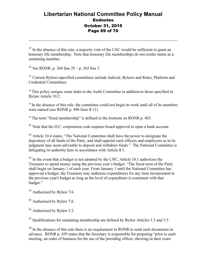## Libertarian National Committee Policy Manual **Endnotes** October 31, 2015 Page 69 of 70

<sup>35</sup> In the absence of this rule, a majority vote of the LNC would be sufficient to grant an honorary life membership. Note that honorary life memberships do not confer status as a sustaining member.

<sup>36</sup> See RONR, p. 264 line  $29 - p$ , 265 line 7.

-

<sup>37</sup> Current Bylaws-specified committees include Judicial, Bylaws and Rules, Platform and Credential Committees.

<sup>38</sup> This policy assigns some tasks to the Audit Committee in addition to those specified in Bylaw Article 10.2.

<sup>39</sup> In the absence of this rule, the committee could not begin its work until all of its members were named (see RONR p. 496 lines 8-11).

<sup>40</sup> The term "fixed membership" is defined in the footnote on RONR p. 403.

<sup>41</sup> Note that the D.C. corporation code requires board approval to open a bank account.

<sup>42</sup> Article 10.4 states, "The National Committee shall have the power to designate the depository of all funds of the Party, and shall appoint such officers and employees as in its judgment may seem advisable to deposit and withdraw funds." The National Committee is delegating its authority here in accordance with Article 8.1.

<sup>43</sup> In the event that a budget is not adopted by the LNC, Article 10.1 authorizes the Treasurer to spend money using the previous year's budget. "The fiscal term of the Party shall begin on January 1 of each year. From January 1 until the National Committee has approved a budget, the Treasurer may authorize expenditures for any item incorporated in the previous year's budget as long as the level of expenditure is consistent with that budget."

<sup>44</sup> Authorized by Bylaw 7.6.

<sup>45</sup> Authorized by Bylaw 7.6.

<sup>46</sup> Authorized by Bylaw 5.2.

<sup>47</sup> Qualifications for sustaining membership are defined by Bylaw Articles 5.3 and 5.5.

<sup>48</sup> In the absence of this rule there is no requirement in RONR to send such documents in advance. RONR p. 459 states that the Secretary is responsible for preparing "prior to each meeting, an order of business for the use of the presiding officer, showing in their exact